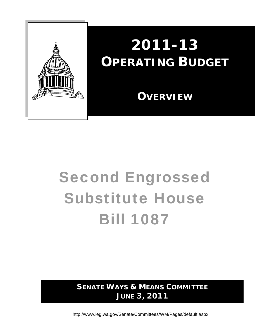

# **2011-13 OPERATING BUDGET**

 **OVERVIEW**

# Second Engrossed Substitute House Bill 1087

**SENATE WAYS & MEANS COMMITTEE JUNE 3, 2011** 

http://www.leg.wa.gov/Senate/Committees/WM/Pages/default.aspx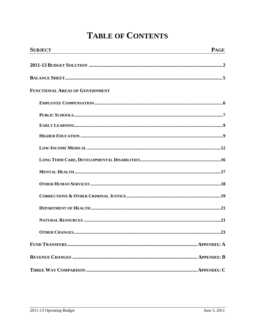# **TABLE OF CONTENTS**

| <b>SUBJECT</b>                        | <b>PAGE</b> |
|---------------------------------------|-------------|
|                                       |             |
|                                       |             |
| <b>FUNCTIONAL AREAS OF GOVERNMENT</b> |             |
|                                       |             |
|                                       |             |
|                                       |             |
|                                       |             |
|                                       |             |
|                                       |             |
|                                       |             |
|                                       |             |
|                                       |             |
|                                       |             |
|                                       |             |
|                                       | 23          |
|                                       |             |
|                                       |             |
|                                       |             |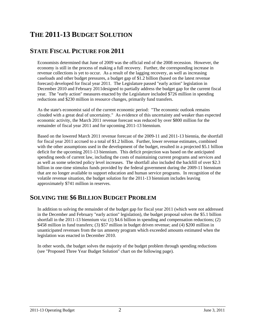# **THE 2011-13 BUDGET SOLUTION**

# **STATE FISCAL PICTURE FOR 2011**

Economists determined that June of 2009 was the official end of the 2008 recession. However, the economy is still in the process of making a full recovery. Further, the corresponding increase in revenue collections is yet to occur. As a result of the lagging recovery, as well as increasing caseloads and other budget pressures, a budget gap of \$1.2 billion (based on the latest revenue forecast) developed for fiscal year 2011. The Legislature passed "early action" legislation in December 2010 and February 2011designed to partially address the budget gap for the current fiscal year. The "early action" measures enacted by the Legislature included \$726 million in spending reductions and \$230 million in resource changes, primarily fund transfers.

As the state's economist said of the current economic period: "The economic outlook remains clouded with a great deal of uncertainty." As evidence of this uncertainty and weaker than expected economic activity, the March 2011 revenue forecast was reduced by over \$800 million for the remainder of fiscal year 2011 and for upcoming 2011-13 biennium.

Based on the lowered March 2011 revenue forecast of the 2009-11 and 2011-13 biennia, the shortfall for fiscal year 2011 accrued to a total of \$1.2 billion. Further, lower revenue estimates, combined with the other assumptions used in the development of the budget, resulted in a projected \$5.1 billion deficit for the upcoming 2011-13 biennium. This deficit projection was based on the anticipated spending needs of current law, including the costs of maintaining current programs and services and as well as some selected policy level increases. The shortfall also included the backfill of over \$2.3 billion in one-time stimulus funds provided by the federal government during the 2009-11 biennium that are no longer available to support education and human service programs. In recognition of the volatile revenue situation, the budget solution for the 2011-13 biennium includes leaving approximately \$741 million in reserves.

# **SOLVING THE \$6 BILLION BUDGET PROBLEM**

In addition to solving the remainder of the budget gap for fiscal year 2011 (which were not addressed in the December and February "early action" legislation), the budget proposal solves the \$5.1 billion shortfall in the 2011-13 biennium via: (1) \$4.6 billion in spending and compensation reductions; (2) \$458 million in fund transfers; (3) \$57 million in budget driven revenue; and (4) \$200 million in unanticipated revenues from the tax amnesty program which exceeded amounts estimated when the legislation was enacted in December 2010.

In other words, the budget solves the majority of the budget problem through spending reductions (see "Proposed Three Year Budget Solution" chart on the following page).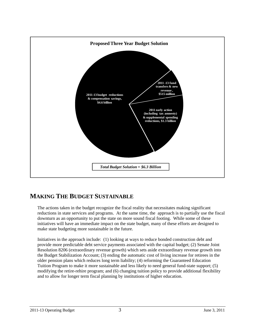

# **MAKING THE BUDGET SUSTAINABLE**

The actions taken in the budget recognize the fiscal reality that necessitates making significant reductions in state services and programs. At the same time, the approach is to partially use the fiscal downturn as an opportunity to put the state on more sound fiscal footing. While some of these initiatives will have an immediate impact on the state budget, many of these efforts are designed to make state budgeting more sustainable in the future.

Initiatives in the approach include: (1) looking at ways to reduce bonded construction debt and provide more predictable debt service payments associated with the capital budget; (2) Senate Joint Resolution 8206 (extraordinary revenue growth) which sets aside extraordinary revenue growth into the Budget Stabilization Account; (3) ending the automatic cost of living increase for retirees in the older pension plans which reduces long term liability; (4) reforming the Guaranteed Education Tuition Program to make it more sustainable and less likely to need general fund-state support; (5) modifying the retire-rehire program; and (6) changing tuition policy to provide additional flexibility and to allow for longer term fiscal planning by institutions of higher education.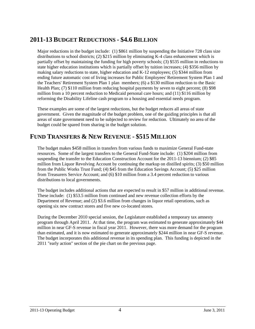# **2011-13 BUDGET REDUCTIONS - \$4.6 BILLION**

Major reductions in the budget include: (1) \$861 million by suspending the Initiative 728 class size distributions to school districts;  $(2)$  \$215 million by eliminating K-4 class enhancement which is partially offset by maintaining the funding for high poverty schools; (3) \$535 million in reductions to state higher education institutions which is partially offset by tuition increases; (4) \$356 million by making salary reductions to state, higher education and K-12 employees; (5) \$344 million from ending future automatic cost of living increases for Public Employees' Retirement System Plan 1 and the Teachers' Retirement System Plan 1 plan members; (6) a \$130 million reduction to the Basic Health Plan; (7) \$110 million from reducing hospital payments by seven to eight percent; (8) \$98 million from a 10 percent reduction to Medicaid personal care hours; and (11) \$116 million by reforming the Disability Lifeline cash program to a housing and essential needs program.

These examples are some of the largest reductions, but the budget reduces all areas of state government. Given the magnitude of the budget problem, one of the guiding principles is that all areas of state government need to be subjected to review for reduction. Ultimately no area of the budget could be spared from sharing in the budget solution.

# **FUND TRANSFERS & NEW REVENUE - \$515 MILLION**

The budget makes \$458 million in transfers from various funds to maximize General Fund-state resources. Some of the largest transfers to the General Fund-State include: (1) \$204 million from suspending the transfer to the Education Construction Account for the 2011-13 biennium; (2) \$85 million from Liquor Revolving Account by continuing the markup on distilled spirits; (3) \$50 million from the Public Works Trust Fund; (4) \$45 from the Education Savings Account; (5) \$25 million from Treasurers Service Account; and (6) \$10 million from a 3.4 percent reduction to various distributions to local governments.

The budget includes additional actions that are expected to result in \$57 million in additional revenue. These include: (1) \$53.5 million from continued and new revenue collection efforts by the Department of Revenue; and (2) \$3.6 million from changes in liquor retail operations, such as opening six new contract stores and five new co-located stores.

During the December 2010 special session, the Legislature established a temporary tax amnesty program through April 2011. At that time, the program was estimated to generate approximately \$44 million in near GF-S revenue in fiscal year 2011. However, there was more demand for the program than estimated, and it is now estimated to generate approximately \$244 million in near GF-S revenue. The budget incorporates this additional revenue in its spending plan. This funding is depicted in the 2011 "early action" section of the pie chart on the previous page.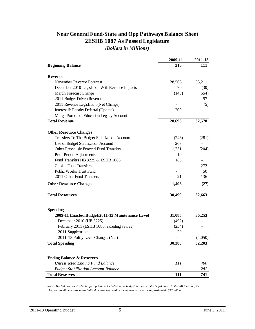# **Near General Fund-State and Opp Pathways Balance Sheet 2ESHB 1087 As Passed Legislature**

*(Dollars in Millions)*

|                                                  | 2009-11 | 2011-13 |
|--------------------------------------------------|---------|---------|
| <b>Beginning Balance</b>                         | 310     | 111     |
| Revenue                                          |         |         |
| November Revenue Forecast                        | 28,566  | 33,211  |
| December 2010 Legislation With Revenue Impacts   | 70      | (30)    |
| <b>March Forecast Change</b>                     | (143)   | (654)   |
| 2011 Budget Driven Revenue                       |         | 57      |
| 2011 Revenue Legislation (Net Change)            |         | (5)     |
| Interest & Penalty Deferral (Update)             | 200     |         |
| Merge Portion of Education Legacy Account        |         |         |
| <b>Total Revenue</b>                             | 28,693  | 32,578  |
| <b>Other Resource Changes</b>                    |         |         |
| Transfers To The Budget Stabilization Account    | (246)   | (281)   |
| Use of Budget Stabilization Account              | 267     |         |
| Other Previously Enacted Fund Transfers          | 1,251   | (204)   |
| Prior Period Adjustments                         | 19      |         |
| Fund Transfers HB 3225 & ESHB 1086               | 185     |         |
| <b>Capital Fund Transfers</b>                    |         | 273     |
| Public Works Trust Fund                          |         | 50      |
| 2011 Other Fund Transfers                        | 21      | 136     |
| <b>Other Resource Changes</b>                    | 1,496   | (27)    |
| <b>Total Resources</b>                           | 30,499  | 32,663  |
|                                                  |         |         |
| <b>Spending</b>                                  |         |         |
| 2009-11 Enacted Budget/2011-13 Maintenance Level | 31,085  | 36,253  |
| December 2010 (HB 3225)                          | (492)   |         |
| February 2011 (ESHB 1086, including vetoes)      | (234)   |         |
| 2011 Supplemental                                | 29      |         |
| 2011-13 Policy Level Changes (Net)               |         | (4,050) |
| <b>Total Spending</b>                            | 30,388  | 32.203  |
|                                                  |         |         |
| <b>Ending Balance &amp; Reserves</b>             |         |         |
| <b>Unrestricted Ending Fund Balance</b>          | 111     | 460     |
| <b>Budget Stabilization Account Balance</b>      |         | 282     |
| <b>Total Reserves</b>                            | 111     | 741     |

*Note: The balance sheet reflects appropriations included in the budget that passed the Legislature. In the 2011 session, the Legislature did not pass several bills that were assumed in the budget to generate approximately \$12 million.*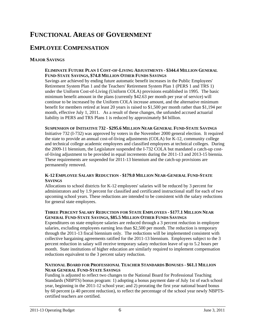# **FUNCTIONAL AREAS OF GOVERNMENT**

# **EMPLOYEE COMPENSATION**

## **MAJOR SAVINGS**

#### **ELIMINATE FUTURE PLAN 1 COST-OF-LIVING ADJUSTMENTS - \$344.4 MILLION GENERAL FUND-STATE SAVINGS, \$74.8 MILLION OTHER FUNDS SAVINGS**

Savings are achieved by ending future automatic benefit increases in the Public Employees' Retirement System Plan 1 and the Teachers' Retirement System Plan 1 (PERS 1 and TRS 1) under the Uniform Cost-of-Living (Uniform COLA) provisions established in 1995. The basic minimum benefit amount in the plans (currently \$42.63 per month per year of service) will continue to be increased by the Uniform COLA increase amount, and the alternative minimum benefit for members retired at least 20 years is raised to \$1,500 per month rather than \$1,194 per month, effective July 1, 2011. As a result of these changes, the unfunded accrued actuarial liability in PERS and TRS Plans 1 is reduced by approximately \$4 billion.

#### **SUSPENSION OF INITIATIVE 732 - \$295.6 MILLION NEAR GENERAL FUND-STATE SAVINGS**

Initiative 732 (I-732) was approved by voters in the November 2000 general election. It required the state to provide an annual cost-of-living adjustments (COLA) for K-12, community college and technical college academic employees and classified employees at technical colleges. During the 2009-11 biennium, the Legislature suspended the I-732 COLA but mandated a catch-up costof-living adjustment to be provided in equal increments during the 2011-13 and 2013-15 biennia. These requirements are suspended for 2011-13 biennium and the catch-up provisions are permanently removed.

#### **K-12 EMPLOYEE SALARY REDUCTION - \$179.0 MILLION NEAR-GENERAL FUND-STATE SAVINGS**

Allocations to school districts for K-12 employees' salaries will be reduced by 3 percent for administrators and by 1.9 percent for classified and certificated instructional staff for each of two upcoming school years. These reductions are intended to be consistent with the salary reductions for general state employees.

#### **THREE PERCENT SALARY REDUCTION FOR STATE EMPLOYEES - \$177.1 MILLION NEAR GENERAL FUND-STATE SAVINGS, \$85.5 MILLION OTHER FUNDS SAVINGS**

Expenditures on state employee salaries are reduced through a 3 percent reduction in employee salaries, excluding employees earning less than \$2,500 per month. The reduction is temporary through the 2011-13 fiscal biennium only. The reductions will be implemented consistent with collective bargaining agreements ratified for the 2011-13 biennium. Employees subject to the 3 percent reduction in salary will receive temporary salary reduction leave of up to 5.2 hours per month. State institutions of higher education are similarly required to implement compensation reductions equivalent to the 3 percent salary reduction.

#### **NATIONAL BOARD FOR PROFESSIONAL TEACHER STANDARDS BONUSES - \$61.1 MILLION NEAR GENERAL FUND-STATE SAVINGS**

Funding is adjusted to reflect two changes to the National Board for Professional Teaching Standards (NBPTS) bonus program: 1) adopting a bonus payment date of July 1st of each school year, beginning in the 2011-12 school year; and 2) prorating the first year national board bonus by 60 percent (a 40 percent reduction), to reflect the percentage of the school year newly NBPTScertified teachers are certified.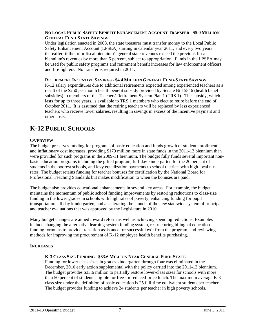#### **NO LOCAL PUBLIC SAFETY BENEFIT ENHANCEMENT ACCOUNT TRANSFER - \$5.0 MILLION GENERAL FUND-STATE SAVINGS**

Under legislation enacted in 2008, the state treasurer must transfer money to the Local Public Safety Enhancement Account (LPSEA) starting in calendar year 2011, and every two years thereafter, if the prior fiscal biennium's general state revenues exceed the previous fiscal biennium's revenues by more than 5 percent, subject to appropriation. Funds in the LPSEA may be used for public safety programs and retirement benefit increases for law enforcement officers and fire fighters. No transfer is required in 2011.

#### **RETIREMENT INCENTIVE SAVINGS - \$4.4 MILLION GENERAL FUND-STATE SAVINGS**

K-12 salary expenditures due to additional retirements expected among experienced teachers as a result of the \$250 per month health benefit subsidy provided by Senate Bill 5846 (health benefit subsidies) to members of the Teachers' Retirement System Plan 1 (TRS 1). The subsidy, which lasts for up to three years, is available to TRS 1 members who elect to retire before the end of October 2011. It is assumed that the retiring teachers will be replaced by less experienced teachers who receive lower salaries, resulting in savings in excess of the incentive payment and other costs.

# **K-12 PUBLIC SCHOOLS**

## **OVERVIEW**

The budget preserves funding for programs of basic education and funds growth of student enrollment and inflationary cost increases, providing \$179 million more in state funds in the 2011-13 biennium than were provided for such programs in the 2009-11 biennium. The budget fully funds several important nonbasic education programs including the gifted program, full-day kindergarten for the 20 percent of students in the poorest schools, and levy equalization payments to school districts with high local tax rates. The budget retains funding for teacher bonuses for certification by the National Board for Professional Teaching Standards but makes modification to when the bonuses are paid.

The budget also provides educational enhancements in several key areas. For example, the budget maintains the momentum of public school funding improvements by restoring reductions to class-size funding in the lower grades in schools with high rates of poverty, enhancing funding for pupil transportation, all day kindergarten, and accelerating the launch of the new statewide system of principal and teacher evaluations that was approved by the Legislature in 2010.

Many budget changes are aimed toward reform as well as achieving spending reductions. Examples include changing the alternative learning system funding system, restructuring bilingual education funding formulas to provide transition assistance for successful exit from the program, and reviewing methods for improving the procurement of K-12 employee health benefits purchasing.

#### **INCREASES**

#### **K-3 CLASS SIZE FUNDING - \$33.6 MILLION NEAR GENERAL FUND-STATE**

Funding for lower class sizes in grades kindergarten through four was eliminated in the December, 2010 early action supplemental with the policy carried into the 2011-13 biennium. The budget provides \$33.6 million to partially restore lower-class sizes for schools with more than 50 percent of students eligible for free- or reduced-price lunch. The maximum average K-3 class size under the definition of basic education is 25 full-time equivalent students per teacher. The budget provides funding to achieve 24 students per teacher in high poverty schools.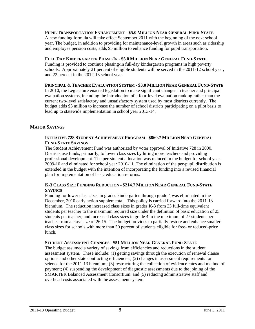#### **PUPIL TRANSPORTATION ENHANCEMENT - \$5.0 MILLION NEAR GENERAL FUND-STATE**

A new funding formula will take effect September 2011 with the beginning of the next school year. The budget, in addition to providing for maintenance-level growth in areas such as ridership and employee pension costs, adds \$5 million to enhance funding for pupil transportation.

#### **FULL DAY KINDERGARTEN PHASE-IN - \$5.0 MILLION NEAR GENERAL FUND-STATE**

Funding is provided to continue phasing-in full-day kindergarten programs in high poverty schools. Approximately 21 percent of eligible students will be served in the 2011-12 school year, and 22 percent in the 2012-13 school year.

#### **PRINCIPAL & TEACHER EVALUATION SYSTEM - \$3.0 MILLION NEAR GENERAL FUND-STATE**

In 2010, the Legislature enacted legislation to make significant changes in teacher and principal evaluation systems, including the introduction of a four-level evaluation ranking rather than the current two-level satisfactory and unsatisfactory system used by most districts currently. The budget adds \$3 million to increase the number of school districts participating on a pilot basis to lead up to statewide implementation in school year 2013-14.

## **MAJOR SAVINGS**

#### **INITIATIVE 728 STUDENT ACHIEVEMENT PROGRAM - \$860.7 MILLION NEAR GENERAL FUND-STATE SAVINGS**

The Student Achievement Fund was authorized by voter approval of Initiative 728 in 2000. Districts use funds, primarily, to lower class sizes by hiring more teachers and providing professional development. The per-student allocation was reduced in the budget for school year 2009-10 and eliminated for school year 2010-11. The elimination of the per-pupil distribution is extended in the budget with the intention of incorporating the funding into a revised financial plan for implementation of basic education reforms.

#### **K-3 CLASS SIZE FUNDING REDUCTION - \$214.7 MILLION NEAR GENERAL FUND-STATE SAVINGS**

Funding for lower class sizes in grades kindergarten through grade 4 was eliminated in the December, 2010 early action supplemental. This policy is carried forward into the 2011-13 biennium. The reduction increased class sizes in grades K-3 from 23 full-time equivalent students per teacher to the maximum required size under the definition of basic education of 25 students per teacher; and increased class sizes in grade 4 to the maximum of 27 students per teacher from a class size of 26.15. The budget provides to partially restore and enhance smaller class sizes for schools with more than 50 percent of students eligible for free- or reduced-price lunch.

#### **STUDENT ASSESSMENT CHANGES - \$51 MILLION NEAR GENERAL FUND-STATE**

The budget assumed a variety of savings from efficiencies and reductions in the student assessment system. These include: (1) getting savings through the execution of renewal clause options and other state contracting efficiencies; (2) changes in assessment requirements for science for the 2011-13 biennium; (3) restructuring the collection of evidence rates and method of payment; (4) suspending the development of diagnostic assessments due to the joining of the SMARTER Balanced Assessment Consortium; and (5) reducing administrative staff and overhead costs associated with the assessment system.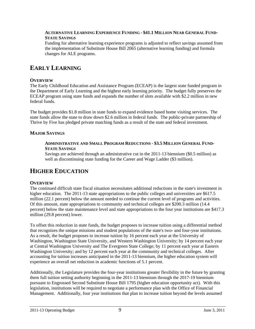#### **ALTERNATIVE LEARNING EXPERIENCE FUNDING - \$41.1 MILLION NEAR GENERAL FUND-STATE SAVINGS**

Funding for alternative learning experience programs is adjusted to reflect savings assumed from the implementation of Substitute House Bill 2065 (alternative learning funding) and formula changes for ALE programs.

# **EARLY LEARNING**

## **OVERVIEW**

The Early Childhood Education and Assistance Program (ECEAP) is the largest state funded program in the Department of Early Learning and the highest early learning priority. The budget fully preserves the ECEAP program using state funds and expands the number of slots available with \$2.2 million in new federal funds.

The budget provides \$1.8 million in state funds to expand evidence based home visiting services. The state funds allow the state to draw down \$2.6 million in federal funds. The public-private partnership of Thrive by Five has pledged private matching funds as a result of the state and federal investment.

## **MAJOR SAVINGS**

#### **ADMINISTRATIVE AND SMALL PROGRAM REDUCTIONS - \$3.5 MILLION GENERAL FUND-STATE SAVINGS**

Savings are achieved through an administrative cut in the 2011-13 biennium (\$0.5 million) as well as discontinuing state funding for the Career and Wage Ladder (\$3 million).

# **HIGHER EDUCATION**

## **OVERVIEW**

The continued difficult state fiscal situation necessitates additional reductions in the state's investment in higher education. The 2011-13 state appropriations to the public colleges and universities are \$617.5 million (22.1 percent) below the amount needed to continue the current level of programs and activities. Of this amount, state appropriations to community and technical colleges are \$200.3 million (14.4 percent) below the state maintenance level and state appropriations to the four year institutions are \$417.3 million (29.8 percent) lower.

To offset this reduction in state funds, the budget proposes to increase tuition using a differential method that recognizes the unique missions and student populations of the state's two- and four-year institutions. As a result, the budget proposes to increase tuition by 16 percent each year at the University of Washington, Washington State University, and Western Washington University; by 14 percent each year at Central Washington University and The Evergreen State College; by 11 percent each year at Eastern Washington University; and by 12 percent each year at the community and technical colleges. After accounting for tuition increases anticipated in the 2011-13 biennium, the higher education system will experience an overall net reduction in academic functions of 5.1 percent.

Additionally, the Legislature provides the four-year institutions greater flexibility in the future by granting them full tuition setting authority beginning in the 2011-13 biennium through the 2017-19 biennium pursuant to Engrossed Second Substitute House Bill 1795 (higher education opportunity act). With this legislation, institutions will be required to negotiate a performance plan with the Office of Financial Management. Additionally, four year institutions that plan to increase tuition beyond the levels assumed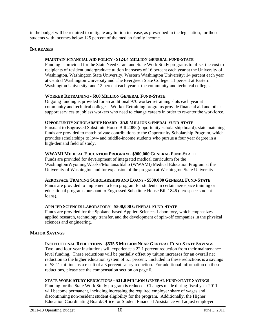in the budget will be required to mitigate any tuition increase, as prescribed in the legislation, for those students with incomes below 125 percent of the median family income.

#### **INCREASES**

#### **MAINTAIN FINANCIAL AID POLICY - \$124.4 MILLION GENERAL FUND-STATE**

Funding is provided for the State Need Grant and State Work Study programs to offset the cost to recipients of resident undergraduate tuition increases of 16 percent each year at the University of Washington, Washington State University, Western Washington University; 14 percent each year at Central Washington University and The Evergreen State College; 11 percent at Eastern Washington University; and 12 percent each year at the community and technical colleges.

#### **WORKER RETRAINING - \$9.0 MILLION GENERAL FUND-STATE**

Ongoing funding is provided for an additional 970 worker retraining slots each year at community and technical colleges. Worker Retraining programs provide financial aid and other support services to jobless workers who need to change careers in order to re-enter the workforce.

#### **OPPORTUNITY SCHOLARSHIP BOARD - \$5.0 MILLION GENERAL FUND-STATE**

Pursuant to Engrossed Substitute House Bill 2088 (opportunity scholarship board), state matching funds are provided to match private contributions to the Opportunity Scholarship Program, which provides scholarships to low- and middle-income students who pursue a four year degree in a high-demand field of study.

#### **WWAMI MEDICAL EDUCATION PROGRAM - \$900,000 GENERAL FUND-STATE**

Funds are provided for development of integrated medical curriculum for the Washington/Wyoming/Alaska/Montana/Idaho (WWAMI) Medical Education Program at the University of Washington and for expansion of the program at Washington State University.

#### **AEROSPACE TRAINING SCHOLARSHIPS AND LOANS - \$500,000 GENERAL FUND-STATE**

Funds are provided to implement a loan program for students in certain aerospace training or educational programs pursuant to Engrossed Substitute House Bill 1846 (aerospace student loans).

#### **APPLIED SCIENCES LABORATORY - \$500,000 GENERAL FUND-STATE**

Funds are provided for the Spokane-based Applied Sciences Laboratory, which emphasizes applied research, technology transfer, and the development of spin-off companies in the physical sciences and engineering.

#### **MAJOR SAVINGS**

## **INSTITUTIONAL REDUCTIONS - \$535.5 MILLION NEAR GENERAL FUND-STATE SAVINGS**

Two- and four-year institutions will experience a 22.1 percent reduction from their maintenance level funding. These reductions will be partially offset by tuition increases for an overall net reduction to the higher education system of 5.1 percent. Included in these reductions is a savings of \$82.1 million, as a result of a 3 percent salary reduction. For additional information on these reductions, please see the compensation section on page 6.

## **STATE WORK STUDY REDUCTIONS - \$31.0 MILLION GENERAL FUND-STATE SAVINGS**

Funding for the State Work Study program is reduced. Changes made during fiscal year 2011 will become permanent, including increasing the required employer share of wages and discontinuing non-resident student eligibility for the program. Additionally, the Higher Education Coordinating Board/Office for Student Financial Assistance will adjust employer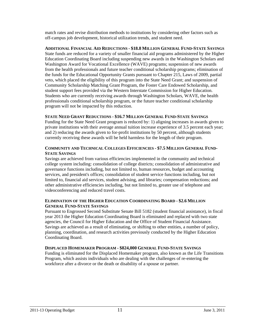match rates and revise distribution methods to institutions by considering other factors such as off-campus job development, historical utilization trends, and student need.

**ADDITIONAL FINANCIAL AID REDUCTIONS - \$18.8 MILLION GENERAL FUND-STATE SAVINGS** State funds are reduced for a variety of smaller financial aid programs administered by the Higher Education Coordinating Board including suspending new awards in the Washington Scholars and Washington Award for Vocational Excellence (WAVE) programs; suspension of new awards from the health professionals and future teacher conditional scholarship programs; elimination of the funds for the Educational Opportunity Grants pursuant to Chapter 215, Laws of 2009, partial veto, which placed the eligibility of this program into the State Need Grant; and suspension of Community Scholarship Matching Grant Program, the Foster Care Endowed Scholarship, and student support fees provided via the Western Interstate Commission for Higher Education. Students who are currently receiving awards through Washington Scholars, WAVE, the health professionals conditional scholarship program, or the future teacher conditional scholarship program will not be impacted by this reduction.

#### **STATE NEED GRANT REDUCTIONS - \$16.7 MILLION GENERAL FUND-STATE SAVINGS**

Funding for the State Need Grant program is reduced by: 1) aligning increases in awards given to private institutions with their average annual tuition increase experience of 3.5 percent each year; and 2) reducing the awards given to for-profit institutions by 50 percent, although students currently receiving these awards will be held harmless for the length of their program.

#### **COMMUNITY AND TECHNICAL COLLEGES EFFICIENCIES - \$7.5 MILLION GENERAL FUND-STATE SAVINGS**

Savings are achieved from various efficiencies implemented in the community and technical college system including: consolidation of college districts; consolidation of administrative and governance functions including, but not limited to, human resources, budget and accounting services, and president's offices; consolidation of student service functions including, but not limited to, financial aid services, student advising, and libraries; compensation reductions; and other administrative efficiencies including, but not limited to, greater use of telephone and videoconferencing and reduced travel costs.

#### **ELIMINATION OF THE HIGHER EDUCATION COORDINATING BOARD - \$2.6 MILLION GENERAL FUND-STATE SAVINGS**

Pursuant to Engrossed Second Substitute Senate Bill 5182 (student financial assistance), in fiscal year 2013 the Higher Education Coordinating Board is eliminated and replaced with two state agencies, the Council for Higher Education and the Office of Student Financial Assistance. Savings are achieved as a result of eliminating, or shifting to other entities, a number of policy, planning, coordination, and research activities previously conducted by the Higher Education Coordinating Board.

#### **DISPLACED HOMEMAKER PROGRAM - \$824,000 GENERAL FUND-STATE SAVINGS**

Funding is eliminated for the Displaced Homemaker program, also known as the Life Transitions Program, which assists individuals who are dealing with the challenges of re-entering the workforce after a divorce or the death or disability of a spouse or partner.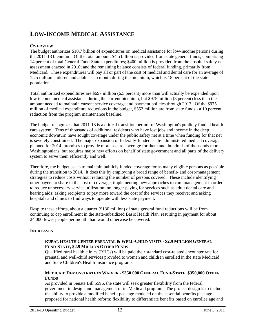# **LOW-INCOME MEDICAL ASSISTANCE**

## **OVERVIEW**

The budget authorizes \$10.7 billion of expenditures on medical assistance for low-income persons during the 2011-13 biennium. Of the total amount, \$4.5 billion is provided from state general funds, comprising 14 percent of total General Fund-State expenditures; \$400 million is provided from the hospital safety net assessment enacted in 2010; and the remaining balance consists of federal funding, primarily from Medicaid. These expenditures will pay all or part of the cost of medical and dental care for an average of 1.25 million children and adults each month during the biennium, which is 18 percent of the state population.

Total authorized expenditures are \$697 million (6.5 percent) more than will actually be expended upon low income medical assistance during the current biennium, but \$975 million (8 percent) less than the amount needed to maintain current service coverage and payment policies through 2013. Of the \$975 million of medical expenditure reductions in the budget, \$552 million are from state funds - a 10 percent reduction from the program maintenance baseline.

The budget recognizes that 2011-13 is a critical transition period for Washington's publicly funded health care system. Tens of thousands of additional residents who have lost jobs and income in the deep economic downturn have sought coverage under the public safety net at a time when funding for that net is severely constrained. The major expansion of federally-funded, state-administered medical coverage planned for 2014 promises to provide more secure coverage for them and hundreds of thousands more Washingtonians, but requires major new efforts on behalf of state government and all parts of the delivery system to serve them efficiently and well.

Therefore, the budget seeks to maintain publicly funded coverage for as many eligible persons as possible during the transition to 2014. It does this by employing a broad range of benefit- and cost-management strategies to reduce costs without reducing the number of persons covered. These include identifying other payers to share in the cost of coverage; implementing new approaches to care management in order to reduce unnecessary service utilization; no longer paying for services such as adult dental care and hearing aids; asking recipients to pay more toward the cost of the services they receive; and asking hospitals and clinics to find ways to operate with less state payment.

Despite these efforts, about a quarter (\$130 million) of state general fund reductions will be from continuing to cap enrollment in the state-subsidized Basic Health Plan, resulting in payment for about 24,000 fewer people per month than would otherwise be covered.

## **INCREASES**

#### **RURAL HEALTH CENTER PRENATAL & WELL-CHILD VISITS - \$2.9 MILLION GENERAL FUND-STATE, \$2.9 MILLION OTHER FUNDS**

Qualified rural health clinics (RHCs) will be paid their standard cost-related encounter rate for prenatal and well-child services provided to women and children enrolled in the state Medicaid and State Children's Health Insurance programs.

#### **MEDICAID DEMONSTRATION WAIVER - \$350,000 GENERAL FUND-STATE, \$350,000 OTHER FUNDS**

As provided in Senate Bill 5596, the state will seek greater flexibility from the federal government in design and management of its Medicaid program. The project design is to include the ability to provide a modified benefit package modeled on the essential benefits package proposed for national health reform; flexibility to differentiate benefits based on enrollee age and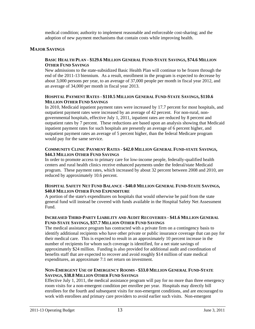medical condition; authority to implement reasonable and enforceable cost-sharing; and the adoption of new payment mechanisms that contain costs while improving health.

#### **MAJOR SAVINGS**

#### **BASIC HEALTH PLAN - \$129.6 MILLION GENERAL FUND-STATE SAVINGS, \$74.6 MILLION OTHER FUND SAVINGS**

New admissions to the state-subsidized Basic Health Plan will continue to be frozen through the end of the 2011-13 biennium. As a result, enrollment in the program is expected to decrease by about 3,000 persons per year, to an average of 37,000 people per month in fiscal year 2012, and an average of 34,000 per month in fiscal year 2013.

#### **HOSPITAL PAYMENT RATES - \$110.5 MILLION GENERAL FUND-STATE SAVINGS, \$110.6 MILLION OTHER FUND SAVINGS**

In 2010, Medicaid inpatient payment rates were increased by 17.7 percent for most hospitals, and outpatient payment rates were increased by an average of 42 percent. For non-rural, nongovernmental hospitals, effective July 1, 2011, inpatient rates are reduced by 8 percent and outpatient rates by 7 percent. These reductions are based upon an analysis showing that Medicaid inpatient payment rates for such hospitals are presently an average of 6 percent higher, and outpatient payment rates an average of 5 percent higher, than the federal Medicare program would pay for the same service.

#### **COMMUNITY CLINIC PAYMENT RATES - \$42.0 MILLION GENERAL FUND-STATE SAVINGS, \$44.3 MILLION OTHER FUND SAVINGS**

In order to promote access to primary care for low-income people, federally-qualified health centers and rural health clinics receive enhanced payments under the federal/state Medicaid program. These payment rates, which increased by about 32 percent between 2008 and 2010, are reduced by approximately 10.6 percent.

#### **HOSPITAL SAFETY NET FUND BALANCE - \$40.0 MILLION GENERAL FUND-STATE SAVINGS, \$40.0 MILLION OTHER FUND EXPENDITURE**

A portion of the state's expenditures on hospitals that would otherwise be paid from the state general fund will instead be covered with funds available in the Hospital Safety Net Assessment Fund.

#### **INCREASED THIRD-PARTY LIABILITY AND AUDIT RECOVERIES - \$41.6 MILLION GENERAL FUND-STATE SAVINGS, \$37.7 MILLION OTHER FUND SAVINGS**

The medical assistance program has contracted with a private firm on a contingency basis to identify additional recipients who have other private or public insurance coverage that can pay for their medical care. This is expected to result in an approximately 10 percent increase in the number of recipients for whom such coverage is identified, for a net state savings of approximately \$24 million. Funding is also provided for additional audit and coordination of benefits staff that are expected to recover and avoid roughly \$14 million of state medical expenditures, an approximate 7:1 net return on investment.

#### **NON-EMERGENT USE OF EMERGENCY ROOMS - \$33.0 MILLION GENERAL FUND-STATE SAVINGS, \$38.8 MILLION OTHER FUND SAVINGS**

Effective July 1, 2011, the medical assistance program will pay for no more than three emergency room visits for a non-emergent condition per enrollee per year. Hospitals may directly bill enrollees for the fourth and subsequent visits for non-emergent conditions, and are encouraged to work with enrollees and primary care providers to avoid earlier such visits. Non-emergent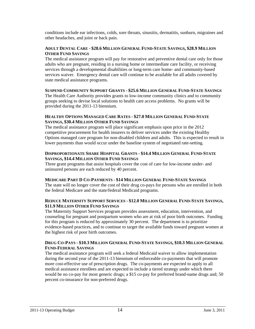conditions include ear infections, colds, sore throats, sinusitis, dermatitis, sunburn, migraines and other headaches, and joint or back pain.

#### **ADULT DENTAL CARE - \$28.6 MILLION GENERAL FUND-STATE SAVINGS, \$28.9 MILLION OTHER FUND SAVINGS**

The medical assistance program will pay for restorative and preventive dental care only for those adults who are pregnant, residing in a nursing home or intermediate care facility, or receiving services through a developmental disabilities or long-term care home- and community-based services waiver. Emergency dental care will continue to be available for all adults covered by state medical assistance programs.

#### **SUSPEND COMMUNITY SUPPORT GRANTS - \$25.6 MILLION GENERAL FUND-STATE SAVINGS**

The Health Care Authority provides grants to low-income community clinics and to community groups seeking to devise local solutions to health care access problems. No grants will be provided during the 2011-13 biennium.

#### **HEALTHY OPTIONS MANAGED CARE RATES - \$27.0 MILLION GENERAL FUND-STATE SAVINGS, \$30.4 MILLION OTHER FUND SAVINGS**

The medical assistance program will place significant emphasis upon price in the 2012 competitive procurement for health insurers to deliver services under the existing Healthy Options managed care program for non-disabled children and adults. This is expected to result in lower payments than would occur under the baseline system of negotiated rate-setting.

#### **DISPROPORTIONATE SHARE HOSPITAL GRANTS - \$14.4 MILLION GENERAL FUND-STATE SAVINGS, \$14.4 MILLION OTHER FUND SAVINGS**

Three grant programs that assist hospitals cover the cost of care for low-income under- and uninsured persons are each reduced by 40 percent.

#### **MEDICARE PART D CO-PAYMENTS - \$14 MILLION GENERAL FUND-STATE SAVINGS**

The state will no longer cover the cost of their drug co-pays for persons who are enrolled in both the federal Medicare and the state/federal Medicaid programs.

#### **REDUCE MATERNITY SUPPORT SERVICES - \$12.0 MILLION GENERAL FUND-STATE SAVINGS, \$11.9 MILLION OTHER FUND SAVINGS**

The Maternity Support Services program provides assessment, education, intervention, and counseling for pregnant and postpartum women who are at risk of poor birth outcomes. Funding for this program is reduced by approximately 30 percent. The department is to prioritize evidence-based practices, and to continue to target the available funds toward pregnant women at the highest risk of poor birth outcomes.

#### **DRUG CO-PAYS - \$10.3 MILLION GENERAL FUND-STATE SAVINGS, \$10.3 MILLION GENERAL FUND-FEDERAL SAVINGS**

The medical assistance program will seek a federal Medicaid waiver to allow implementation during the second year of the 2011-13 biennium of enforceable co-payments that will promote more cost-effective use of prescription drugs. The co-payments are expected to apply to all medical assistance enrollees and are expected to include a tiered strategy under which there would be no co-pay for most generic drugs; a \$15 co-pay for preferred brand-name drugs and; 50 percent co-insurance for non-preferred drugs.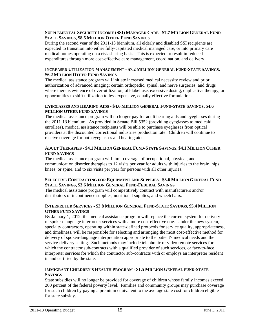#### **SUPPLEMENTAL SECURITY INCOME (SSI) MANAGED CARE - \$7.7 MILLION GENERAL FUND-STATE SAVINGS, \$8.5 MILLION OTHER FUND SAVINGS**

During the second year of the 2011-13 biennium, all elderly and disabled SSI recipients are expected to transition into either fully-capitated medical managed care, or into primary care medical homes operating on a risk-sharing basis. This is expected to result in reduced expenditures through more cost-effective care management, coordination, and delivery.

#### **INCREASED UTILIZATION MANAGEMENT - \$7.2 MILLION GENERAL FUND-STATE SAVINGS, \$6.2 MILLION OTHER FUND SAVINGS**

The medical assistance program will initiate increased medical necessity review and prior authorization of advanced imaging; certain orthopedic, spinal, and nerve surgeries; and drugs where there is evidence of over-utilization, off-label use, excessive dosing, duplicative therapy, or opportunities to shift utilization to less expensive, equally effective formulations.

#### **EYEGLASSES AND HEARING AIDS - \$4.6 MILLION GENERAL FUND-STATE SAVINGS, \$4.6 MILLION OTHER FUND SAVINGS**

The medical assistance program will no longer pay for adult hearing aids and eyeglasses during the 2011-13 biennium. As provided in Senate Bill 5352 (providing eyeglasses to medicaid enrollees), medical assistance recipients will be able to purchase eyeglasses from optical providers at the discounted correctional industries production rate. Children will continue to receive coverage for both eyeglasses and hearing aids.

#### **ADULT THERAPIES - \$4.1 MILLION GENERAL FUND-STATE SAVINGS, \$4.1 MILLION OTHER FUND SAVINGS**

The medical assistance program will limit coverage of occupational, physical, and communication disorder therapies to 12 visits per year for adults with injuries to the brain, hips, knees, or spine, and to six visits per year for persons with all other injuries.

#### **SELECTIVE CONTRACTING FOR EQUIPMENT AND SUPPLIES - \$3.6 MILLION GENERAL FUND-STATE SAVINGS, \$3.6 MILLION GENERAL FUND-FEDERAL SAVINGS**

The medical assistance program will competitively contract with manufacturers and/or distributors of incontinence supplies, nutritional supplies, and wheelchairs.

#### **INTERPRETER SERVICES - \$2.8 MILLION GENERAL FUND-STATE SAVINGS, \$5.4 MILLION OTHER FUND SAVINGS**

By January 1, 2012, the medical assistance program will replace the current system for delivery of spoken-language interpreter services with a more cost-effective one. Under the new system, specialty contractors, operating within state-defined protocols for service quality, appropriateness, and timeliness, will be responsible for selecting and arranging the most cost-effective method for delivery of spoken-language interpretation appropriate to the patient's medical needs and the service-delivery setting. Such methods may include telephonic or video remote services for which the contractor sub-contracts with a qualified provider of such services, or face-to-face interpreter services for which the contractor sub-contracts with or employs an interpreter resident in and certified by the state.

#### **IMMIGRANT CHILDREN'S HEALTH PROGRAM - \$1.5 MILLION GENERAL FUND-STATE SAVINGS**

State subsidies will no longer be provided for coverage of children whose family incomes exceed 200 percent of the federal poverty level. Families and community groups may purchase coverage for such children by paying a premium equivalent to the average state cost for children eligible for state subsidy.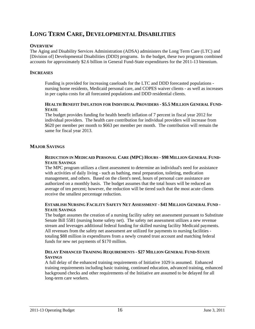# **LONG TERM CARE, DEVELOPMENTAL DISABILITIES**

## **OVERVIEW**

The Aging and Disability Services Administration (ADSA) administers the Long Term Care (LTC) and [Division of] Developmental Disabilities (DDD) programs. In the budget, these two programs combined accounts for approximately \$2.6 billion in General Fund-State expenditures for the 2011-13 biennium.

## **INCREASES**

Funding is provided for increasing caseloads for the LTC and DDD forecasted populations nursing home residents, Medicaid personal care, and COPES waiver clients - as well as increases in per capita costs for all forecasted populations and DDD residential clients.

#### **HEALTH BENEFIT INFLATION FOR INDIVIDUAL PROVIDERS - \$5.5 MILLION GENERAL FUND-STATE**

The budget provides funding for health benefit inflation of 7 percent in fiscal year 2012 for individual providers. The health care contribution for individual providers will increase from \$620 per member per month to \$663 per member per month. The contribution will remain the same for fiscal year 2013.

## **MAJOR SAVINGS**

#### **REDUCTION IN MEDICAID PERSONAL CARE (MPC) HOURS - \$98 MILLION GENERAL FUND-STATE SAVINGS**

The MPC program utilizes a client assessment to determine an individual's need for assistance with activities of daily living - such as bathing, meal preparation, toileting, medication management, and others. Based on the client's need, hours of personal care assistance are authorized on a monthly basis. The budget assumes that the total hours will be reduced an average of ten percent; however, the reduction will be tiered such that the most acute clients receive the smallest percentage reduction.

#### **ESTABLISH NURSING FACILITY SAFETY NET ASSESSMENT - \$41 MILLION GENERAL FUND - STATE SAVINGS**

The budget assumes the creation of a nursing facility safety net assessment pursuant to Substitute Senate Bill 5581 (nursing home safety net). The safety net assessment utilizes a new revenue stream and leverages additional federal funding for skilled nursing facility Medicaid payments. All revenues from the safety net assessment are utilized for payments to nursing facilities totaling \$88 million in expenditures from a newly created trust account and matching federal funds for new net payments of \$170 million.

#### **DELAY ENHANCED TRAINING REQUIREMENTS - \$27 MILLION GENERAL FUND-STATE SAVINGS**

A full delay of the enhanced training requirements of Initiative 1029 is assumed. Enhanced training requirements including basic training, continued education, advanced training, enhanced background checks and other requirements of the Initiative are assumed to be delayed for all long-term care workers.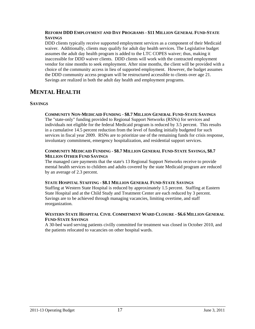#### **REFORM DDD EMPLOYMENT AND DAY PROGRAMS - \$11 MILLION GENERAL FUND-STATE SAVINGS**

DDD clients typically receive supported employment services as a component of their Medicaid waiver. Additionally, clients may qualify for adult day health services. The Legislative budget assumes the adult day health program is added to the LTC COPES waiver; thus, making it inaccessible for DDD waiver clients. DDD clients will work with the contracted employment vendor for nine months to seek employment. After nine months, the client will be provided with a choice of the community access in lieu of supported employment. However, the budget assumes the DDD community access program will be restructured accessible to clients over age 21. Savings are realized in both the adult day health and employment programs.

# **MENTAL HEALTH**

## **SAVINGS**

#### **COMMUNITY NON-MEDICAID FUNDING - \$8.7 MILLION GENERAL FUND-STATE SAVINGS**

The "state-only" funding provided to Regional Support Networks (RSNs) for services and individuals not eligible for the federal Medicaid program is reduced by 3.5 percent. This results in a cumulative 14.5 percent reduction from the level of funding initially budgeted for such services in fiscal year 2009. RSNs are to prioritize use of the remaining funds for crisis response, involuntary commitment, emergency hospitalization, and residential support services.

#### **COMMUNITY MEDICAID FUNDING - \$8.7 MILLION GENERAL FUND-STATE SAVINGS, \$8.7 MILLION OTHER FUND SAVINGS**

The managed care payments that the state's 13 Regional Support Networks receive to provide mental health services to children and adults covered by the state Medicaid program are reduced by an average of 2.3 percent.

#### **STATE HOSPITAL STAFFING - \$8.1 MILLION GENERAL FUND-STATE SAVINGS**

Staffing at Western State Hospital is reduced by approximately 1.5 percent. Staffing at Eastern State Hospital and at the Child Study and Treatment Center are each reduced by 3 percent. Savings are to be achieved through managing vacancies, limiting overtime, and staff reorganization.

#### **WESTERN STATE HOSPITAL CIVIL COMMITMENT WARD CLOSURE - \$6.6 MILLION GENERAL FUND-STATE SAVINGS**

A 30-bed ward serving patients civilly committed for treatment was closed in October 2010, and the patients relocated to vacancies on other hospital wards.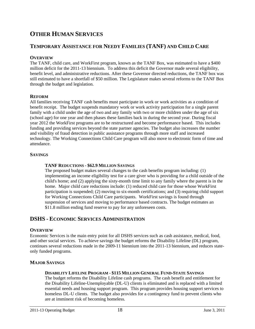# **OTHER HUMAN SERVICES**

## **TEMPORARY ASSISTANCE FOR NEEDY FAMILIES (TANF) AND CHILD CARE**

## **OVERVIEW**

The TANF, child care, and WorkFirst program, known as the TANF Box, was estimated to have a \$400 million deficit for the 2011-13 biennium. To address this deficit the Governor made several eligibility, benefit level, and administrative reductions. After these Governor directed reductions, the TANF box was still estimated to have a shortfall of \$50 million. The Legislature makes several reforms to the TANF Box through the budget and legislation.

## **REFORM**

All families receiving TANF cash benefits must participate in work or work activities as a condition of benefit receipt. The budget suspends mandatory work or work activity participation for a single parent family with a child under the age of two and any family with two or more children under the age of six (school age) for one year and then phases these families back in during the second year. During fiscal year 2012 the WorkFirst programs are to be restructured and become performance based. This includes funding and providing services beyond the state partner agencies. The budget also increases the number and visibility of fraud detection in public assistance programs through more staff and increased technology. The Working Connections Child Care program will also move to electronic form of time and attendance.

## **SAVINGS**

#### **TANF REDUCTIONS - \$62.9 MILLION SAVINGS**

The proposed budget makes several changes to the cash benefits program including: (1) implementing an income eligibility test for a care giver who is providing for a child outside of the child's home; and (2) applying the sixty-month time limit to any family where the parent is in the home. Major child care reductions include: (1) reduced child care for those whose WorkFirst participation is suspended; (2) moving to six-month certifications; and (3) requiring child support for Working Connections Child Care participants. WorkFirst savings is found through suspension of services and moving to performance based contracts. The budget estimates an \$11.8 million ending fund reserve to pay for any unforeseen costs.

## **DSHS - ECONOMIC SERVICES ADMINISTRATION**

#### **OVERVIEW**

Economic Services is the main entry point for all DSHS services such as cash assistance, medical, food, and other social services. To achieve savings the budget reforms the Disability Lifeline (DL) program, continues several reductions made in the 2009-11 biennium into the 2011-13 biennium, and reduces stateonly funded programs.

## **MAJOR SAVINGS**

#### **DISABILITY LIFELINE PROGRAM - \$115 MILLION GENERAL FUND-STATE SAVINGS**

The budget reforms the Disability Lifeline cash programs. The cash benefit and entitlement for the Disability Lifeline-Unemployable (DL-U) clients is eliminated and is replaced with a limited essential needs and housing support program. This program provides housing support services to homeless DL-U clients. The budget also provides for a contingency fund to prevent clients who are at imminent risk of becoming homeless.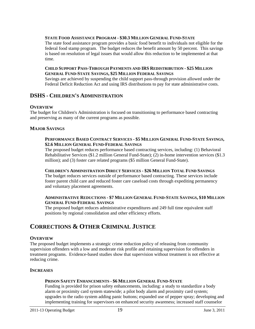#### **STATE FOOD ASSISTANCE PROGRAM - \$30.3 MILLION GENERAL FUND-STATE**

The state food assistance program provides a basic food benefit to individuals not eligible for the federal food stamp program. The budget reduces the benefit amount by 50 percent. This savings is based on resolution of legal issues that would allow this reduction to be implemented at that time.

#### **CHILD SUPPORT PASS-THROUGH PAYMENTS AND IRS REDISTRIBUTION - \$25 MILLION GENERAL FUND-STATE SAVINGS, \$25 MILLION FEDERAL SAVINGS**

Savings are achieved by suspending the child support pass-through provision allowed under the Federal Deficit Reduction Act and using IRS distributions to pay for state administrative costs.

## **DSHS - CHILDREN'S ADMINISTRATION**

#### **OVERVIEW**

The budget for Children's Administration is focused on transitioning to performance based contracting and preserving as many of the current programs as possible.

#### **MAJOR SAVINGS**

#### **PERFORMANCE BASED CONTRACT SERVICES - \$5 MILLION GENERAL FUND-STATE SAVINGS, \$2.6 MILLION GENERAL FUND-FEDERAL SAVINGS**

The proposed budget reduces performance based contracting services, including: (1) Behavioral Rehabilitative Services (\$1.2 million General Fund-State); (2) in-home intervention services (\$1.3 million); and (3) foster care related programs (\$5 million General Fund-State).

#### **CHILDREN'S ADMINISTRATION DIRECT SERVICES - \$26 MILLION TOTAL FUND SAVINGS**

The budget reduces services outside of performance based contracting. These services include foster parent child care and reduced foster care caseload costs through expediting permanency and voluntary placement agreements.

#### **ADMINISTRATIVE REDUCTIONS - \$7 MILLION GENERAL FUND-STATE SAVINGS, \$10 MILLION GENERAL FUND-FEDERAL SAVINGS**

The proposed budget reduces administrative expenditures and 249 full time equivalent staff positions by regional consolidation and other efficiency efforts.

# **CORRECTIONS & OTHER CRIMINAL JUSTICE**

#### **OVERVIEW**

The proposed budget implements a strategic crime reduction policy of releasing from community supervision offenders with a low and moderate risk profile and retaining supervision for offenders in treatment programs. Evidence-based studies show that supervision without treatment is not effective at reducing crime.

#### **INCREASES**

#### **PRISON SAFETY ENHANCEMENTS - \$6 MILLION GENERAL FUND-STATE**

Funding is provided for prison safety enhancements, including: a study to standardize a body alarm or proximity card system statewide; a pilot body alarm and proximity card system; upgrades to the radio system adding panic buttons; expanded use of pepper spray; developing and implementing training for supervisors on enhanced security awareness; increased staff counselor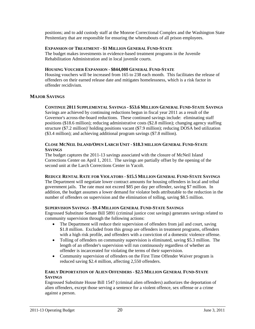positions; and to add custody staff at the Monroe Correctional Complex and the Washington State Penitentiary that are responsible for ensuring the whereabouts of all prison employees.

#### **EXPANSION OF TREATMENT - \$1 MILLION GENERAL FUND-STATE**

The budget makes investments in evidence-based treatment programs in the Juvenile Rehabilitation Administration and in local juvenile courts.

#### **HOUSING VOUCHER EXPANSION - \$844,000 GENERAL FUND-STATE**

Housing vouchers will be increased from 165 to 238 each month. This facilitates the release of offenders on their earned release date and mitigates homelessness, which is a risk factor in offender recidivism.

#### **MAJOR SAVINGS**

#### **CONTINUE 2011 SUPPLEMENTAL SAVINGS - \$53.6 MILLION GENERAL FUND-STATE SAVINGS**

Savings are achieved by continuing reductions begun in fiscal year 2011 as a result of the Governor's across-the-board reductions. These continued savings include: eliminating staff positions (\$18.6 million); reducing administrative costs (\$2.8 million); changing agency staffing structure (\$7.2 million)' holding positions vacant (\$7.9 million); reducing DOSA bed utilization (\$3.4 million); and achieving additional program savings (\$7.8 million).

#### **CLOSE MCNEIL ISLAND/OPEN LARCH UNIT - \$18.3 MILLION GENERAL FUND-STATE SAVINGS**

The budget captures the 2011-13 savings associated with the closure of McNeil Island Corrections Center on April 1, 2011. The savings are partially offset by the opening of the second unit at the Larch Corrections Center in Yacolt.

#### **REDUCE RENTAL RATE FOR VIOLATORS - \$15.5 MILLION GENERAL FUND-STATE SAVINGS**

The Department will negotiate lower contract amounts for housing offenders in local and tribal government jails. The rate must not exceed \$85 per day per offender, saving \$7 million. In addition, the budget assumes a lower demand for violator beds attributable to the reduction in the number of offenders on supervision and the elimination of tolling, saving \$8.5 million.

#### **SUPERVISION SAVINGS - \$9.4 MILLION GENERAL FUND-STATE SAVINGS**

Engrossed Substitute Senate Bill 5891 (criminal justice cost savings) generates savings related to community supervision through the following actions:

- The Department will reduce their supervision of offenders from jail and court, saving \$1.8 million. Excluded from this group are offenders in treatment programs, offenders with a high risk profile, and offenders with a conviction of a domestic violence offense.
- Tolling of offenders on community supervision is eliminated, saving \$5.3 million. The length of an offender's supervision will run continuously regardless of whether an offender is incarcerated for violating the terms of their supervision.
- Community supervision of offenders on the First Time Offender Waiver program is reduced saving \$2.4 million, affecting 2,550 offenders.

#### **EARLY DEPORTATION OF ALIEN OFFENDERS - \$2.5 MILLION GENERAL FUND-STATE SAVINGS**

Engrossed Substitute House Bill 1547 (criminal alien offenders) authorizes the deportation of alien offenders, except those serving a sentence for a violent offence, sex offense or a crime against a person.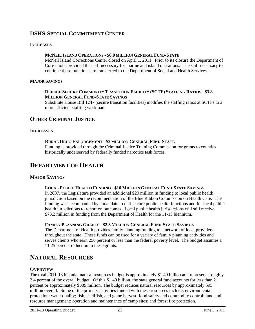# **DSHS-SPECIAL COMMITMENT CENTER**

#### **INCREASES**

#### **MCNEIL ISLAND OPERATIONS - \$6.0 MILLION GENERAL FUND-STATE**

McNeil Island Corrections Center closed on April 1, 2011. Prior to its closure the Department of Corrections provided the staff necessary for marine and island operations. The staff necessary to continue these functions are transferred to the Department of Social and Health Services.

#### **MAJOR SAVINGS**

#### **REDUCE SECURE COMMUNITY TRANSITION FACILITY (SCTF) STAFFING RATIOS - \$3.8 MILLION GENERAL FUND-STATE SAVINGS**

Substitute House Bill 1247 (secure transition facilities) modifies the staffing ratios at SCTFs to a more efficient staffing workload.

## **OTHER CRIMINAL JUSTICE**

#### **INCREASES**

#### **RURAL DRUG ENFORCEMENT - \$2 MILLION GENERAL FUND-STATE**

Funding is provided through the Criminal Justice Training Commission for grants to counties historically underserved by federally funded narcotics task forces.

## **DEPARTMENT OF HEALTH**

#### **MAJOR SAVINGS**

#### **LOCAL PUBLIC HEALTH FUNDING - \$10 MILLION GENERAL FUND-STATE SAVINGS**

In 2007, the Legislature provided an additional \$20 million in funding to local public health jurisdiction based on the recommendation of the Blue Ribbon Commission on Health Care. The funding was accompanied by a mandate to define core public health functions and for local public health jurisdictions to report on outcomes. Local public health jurisdictions will still receive \$73.2 million in funding from the Department of Health for the 11-13 biennium.

#### **FAMILY PLANNING GRANTS - \$2.3 MILLION GENERAL FUND-STATE SAVINGS**

The Department of Health provides family planning funding to a network of local providers throughout the state. These funds can be used for a variety of family planning activities and serves clients who earn 250 percent or less than the federal poverty level. The budget assumes a 11.25 percent reduction to these grants.

# **NATURAL RESOURCES**

#### **OVERVIEW**

The total 2011-13 biennial natural resources budget is approximately \$1.49 billion and represents roughly 2.4 percent of the overall budget. Of this \$1.49 billion, the state general fund accounts for less than 21 percent or approximately \$309 million. The budget reduces natural resources by approximately \$95 million overall. Some of the primary activities funded with these resources include: environmental protection; water quality; fish, shellfish, and game harvest; food safety and commodity control; land and resource management; operation and maintenance of camp sites; and forest fire protection.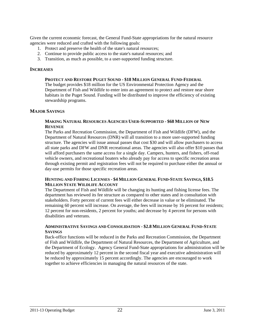Given the current economic forecast, the General Fund-State appropriations for the natural resource agencies were reduced and crafted with the following goals:

- 1. Protect and preserve the health of the state's natural resources;
- 2. Continue to provide public access to the state's natural resources; and
- 3. Transition, as much as possible, to a user-supported funding structure.

#### **INCREASES**

#### **PROTECT AND RESTORE PUGET SOUND - \$18 MILLION GENERAL FUND-FEDERAL**

The budget provides \$18 million for the US Environmental Protection Agency and the Department of Fish and Wildlife to enter into an agreement to protect and restore near shore habitats in the Puget Sound. Funding will be distributed to improve the efficiency of existing stewardship programs.

#### **MAJOR SAVINGS**

#### **MAKING NATURAL RESOURCES AGENCIES USER-SUPPORTED - \$68 MILLION OF NEW REVENUE**

The Parks and Recreation Commission, the Department of Fish and Wildlife (DFW), and the Department of Natural Resources (DNR) will all transition to a more user-supported funding structure. The agencies will issue annual passes that cost \$30 and will allow purchasers to access all state parks and DFW and DNR recreational areas. The agencies will also offer \$10 passes that will afford purchasers the same access for a single day. Campers, hunters, and fishers, off-road vehicle owners, and recreational boaters who already pay for access to specific recreation areas through existing permit and registration fees will not be required to purchase either the annual or day-use permits for those specific recreation areas.

#### **HUNTING AND FISHING LICENSES - \$4 MILLION GENERAL FUND-STATE SAVINGS, \$18.5 MILLION STATE WILDLIFE ACCOUNT**

The Department of Fish and Wildlife will be changing its hunting and fishing license fees. The department has reviewed its fee structure as compared to other states and in consultation with stakeholders. Forty percent of current fees will either decrease in value or be eliminated. The remaining 60 percent will increase. On average, the fees will increase by 16 percent for residents; 12 percent for non-residents, 2 percent for youths; and decrease by 4 percent for persons with disabilities and veterans.

#### **ADMINISTRATIVE SAVINGS AND CONSOLIDATION - \$2.8 MILLION GENERAL FUND-STATE SAVINGS**

Back-office functions will be reduced in the Parks and Recreation Commission, the Department of Fish and Wildlife, the Department of Natural Resources, the Department of Agriculture, and the Department of Ecology. Agency General Fund-State appropriations for administration will be reduced by approximately 12 percent in the second fiscal year and executive administration will be reduced by approximately 15 percent accordingly. The agencies are encouraged to work together to achieve efficiencies in managing the natural resources of the state.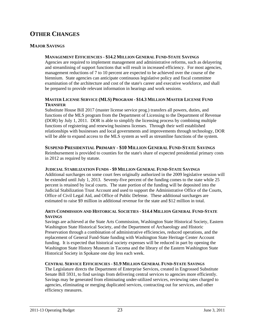# **OTHER CHANGES**

## **MAJOR SAVINGS**

#### **MANAGEMENT EFFICIENCIES - \$14.2 MILLION GENERAL FUND-STATE SAVINGS**

Agencies are required to implement management and administrative reforms, such as delayering and streamlining of support functions that will result in increased efficiency. For most agencies, management reductions of 7 to 10 percent are expected to be achieved over the course of the biennium. State agencies can anticipate continuous legislative policy and fiscal committee examination of the architecture and cost of the state's career and executive workforce, and shall be prepared to provide relevant information in hearings and work sessions.

#### **MASTER LICENSE SERVICE (MLS) PROGRAM - \$14.3 MILLION MASTER LICENSE FUND TRANSFER**

Substitute House Bill 2017 (master license service prog.) transfers all powers, duties, and functions of the MLS program from the Department of Licensing to the Department of Revenue (DOR) by July 1, 2011. DOR is able to simplify the licensing process by combining multiple functions of registering and renewing business licenses. Through their well established relationships with businesses and local governments and improvements through technology, DOR will be able to expand access to the MLS system as well as streamline functions of the system.

#### **SUSPEND PRESIDENTIAL PRIMARY - \$10 MILLION GENERAL FUND-STATE SAVINGS**

Reimbursement is provided to counties for the state's share of expected presidential primary costs in 2012 as required by statute.

#### **JUDICIAL STABILIZATION FUNDS - \$9 MILLION GENERAL FUND-STATE SAVINGS**

Additional surcharges on some court fees originally authorized in the 2009 legislative session will be extended until July 1, 2013. Seventy-five percent of the funding comes to the state while 25 percent is retained by local courts. The state portion of the funding will be deposited into the Judicial Stabilization Trust Account and used to support the Administrative Office of the Courts, Office of Civil Legal Aid, and Office of Public Defense. These additional surcharges are estimated to raise \$9 million in additional revenue for the state and \$12 million in total.

#### **ARTS COMMISSION AND HISTORICAL SOCIETIES - \$14.4 MILLION GENERAL FUND-STATE SAVINGS**

Savings are achieved at the State Arts Commission, Washington State Historical Society, Eastern Washington State Historical Society, and the Department of Archaeology and Historic Preservation through a combination of administrative efficiencies, reduced operations, and the replacement of General Fund-State funding with Washington State Heritage Center Account funding. It is expected that historical society expenses will be reduced in part by opening the Washington State History Museum in Tacoma and the library of the Eastern Washington State Historical Society in Spokane one day less each week.

#### **CENTRAL SERVICE EFFICIENCIES - \$1.9 MILLION GENERAL FUND-STATE SAVINGS**

The Legislature directs the Department of Enterprise Services, created in Engrossed Substitute Senate Bill 5931, to find savings from delivering central services to agencies more efficiently. Savings may be generated from eliminating under-utilized services, reviewing rates charged to agencies, eliminating or merging duplicated services, contracting out for services, and other efficiency measures.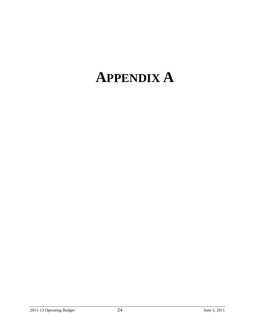# **APPENDIX A**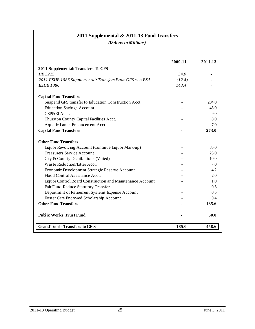# **2011 Supplemental & 2011-13 Fund Transfers**

*(Dollars in Millions)*

|                                                           | 2009-11 | 2011-13 |
|-----------------------------------------------------------|---------|---------|
| 2011 Supplemental: Transfers To GFS                       |         |         |
| HB 3225                                                   | 54.0    |         |
| 2011 ESHB 1086 Supplemental: Transfers From GFS w-o BSA   | (12.4)  |         |
| <b>ESHB 1086</b>                                          | 143.4   |         |
| <b>Capital Fund Transfers</b>                             |         |         |
| Suspend GFS transfer to Education Construction Acct.      |         | 204.0   |
| <b>Education Savings Account</b>                          |         | 45.0    |
| CEP&RI Acct.                                              |         | 9.0     |
| Thurston County Capital Facilities Acct.                  |         | 8.0     |
| Aquatic Lands Enhancement Acct.                           |         | 7.0     |
| <b>Capital Fund Transfers</b>                             |         | 273.0   |
| <b>Other Fund Transfers</b>                               |         |         |
| Liquor Revolving Account (Continue Liquor Mark-up)        |         | 85.0    |
| <b>Treasurers Service Account</b>                         |         | 25.0    |
| City & County Distributions (Varied)                      |         | 10.0    |
| Waste Reduction/Litter Acct.                              |         | 7.0     |
| Economic Development Strategic Reserve Account            |         | 4.2     |
| Flood Control Assistance Acct.                            |         | 2.0     |
| Liquor Control Board Construction and Maintenance Account |         | 1.0     |
| Fair Fund-Reduce Statutory Transfer                       |         | 0.5     |
| Department of Retirement Systems Expense Account          |         | 0.5     |
| Foster Care Endowed Scholarship Account                   |         | 0.4     |
| <b>Other Fund Transfers</b>                               |         | 135.6   |
| <b>Public Works Trust Fund</b>                            |         | 50.0    |
| <b>Grand Total - Transfers to GF-S</b>                    | 185.0   | 458.6   |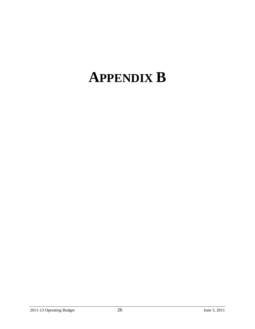# **APPENDIX B**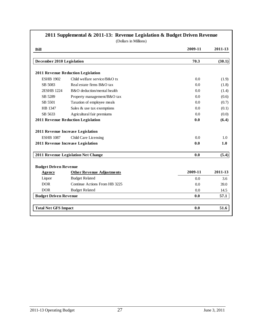|                              | (Dollars in Millions)               |         |         |
|------------------------------|-------------------------------------|---------|---------|
| <b>Bill</b>                  |                                     | 2009-11 | 2011-13 |
| December 2010 Legislation    |                                     | 70.3    | (30.1)  |
|                              | 2011 Revenue Reduction Legislation  |         |         |
| <b>ESHB 1902</b>             | Child welfare service/B&O tx        | 0.0     | (1.9)   |
| SB 5083                      | Real estate firms B&O tax           | 0.0     | (1.8)   |
| 2ESHB 1224                   | B&O deduction/mental health         | 0.0     | (1.4)   |
| SB 5289                      | Property management/B&O tax         | 0.0     | (0.6)   |
| SB 5501                      | Taxation of employee meals          | 0.0     | (0.7)   |
| HB 1347                      | Sales & use tax exemptions          | 0.0     | (0.1)   |
| SB 5633                      | Agricultural fair premiums          | 0.0     | (0.0)   |
|                              | 2011 Revenue Reduction Legislation  | 0.0     | (6.4)   |
|                              | 2011 Revenue Increase Legislation   |         |         |
| <b>ESHB 1087</b>             | Child Care Licensing                | 0.0     | 1.0     |
|                              | 2011 Revenue Increase Legislation   | 0.0     | 1.0     |
|                              | 2011 Revenue Legislation Net Change | 0.0     | (5.4)   |
| <b>Budget Driven Revenue</b> |                                     |         |         |
| Agency                       | <b>Other Revenue Adjustments</b>    | 2009-11 | 2011-13 |
| Liquor                       | <b>Budget Related</b>               | 0.0     | 3.6     |
| <b>DOR</b>                   | Continue Actions From HB 3225       | 0.0     | 39.0    |
| <b>DOR</b>                   | <b>Budget Related</b>               | 0.0     | 14.5    |
| <b>Budget Driven Revenue</b> |                                     | 0.0     | 57.1    |
| <b>Total Net GFS Impact</b>  |                                     | 0.0     | 51.6    |

# **2011 Supplemental & 2011-13: Revenue Legislation & Budget Driven Revenue**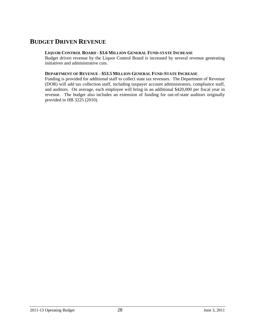# **BUDGET DRIVEN REVENUE**

#### **LIQUOR CONTROL BOARD - \$3.6 MILLION GENERAL FUND-STATE INCREASE**

Budget driven revenue by the Liquor Control Board is increased by several revenue generating initiatives and administrative cuts.

## **DEPARTMENT OF REVENUE - \$53.5 MILLION GENERAL FUND-STATE INCREASE**

Funding is provided for additional staff to collect state tax revenues. The Department of Revenue (DOR) will add tax collection staff, including taxpayer account administrators, compliance staff, and auditors. On average, each employee will bring in an additional \$420,000 per fiscal year in revenue. The budget also includes an extension of funding for out-of-state auditors originally provided in HB 3225 (2010).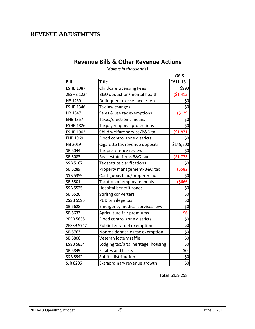# **REVENUE ADJUSTMENTS**

# **Revenue Bills & Other Revenue Actions**

*(dollars in thousands)*

|                  |                                     | GF-S       |
|------------------|-------------------------------------|------------|
| <b>Bill</b>      | <b>Title</b>                        | FY11-13    |
| <b>ESHB 1087</b> | <b>Childcare Licensing Fees</b>     | \$993      |
| 2ESHB 1224       | B&O deduction/mental health         | ( \$1,415) |
| HB 1239          | Delinquent excise taxes/lien        | \$0        |
| <b>ESHB 1346</b> | Tax law changes                     | \$0        |
| HB 1347          | Sales & use tax exemptions          | (5129)     |
| <b>EHB 1357</b>  | Taxes/electronic means              | \$0        |
| <b>ESHB 1826</b> | Taxpayer appeal protections         | \$0        |
| <b>ESHB 1902</b> | Child welfare service/B&O tx        | (51, 871)  |
| EHB 1969         | Flood control zone districts        | \$0        |
| HB 2019          | Cigarette tax revenue deposits      | \$145,700  |
| SB 5044          | Tax preference review               | \$0        |
| SB 5083          | Real estate firms B&O tax           | (51, 773)  |
| SSB 5167         | Tax statute clarifications          | \$0        |
| SB 5289          | Property management/B&O tax         | (5582)     |
| SSB 5359         | Contiguous land/property tax        | \$0        |
| SB 5501          | Taxation of employee meals          | (5666)     |
| SSB 5525         | Hospital benefit zones              | \$0        |
| SB 5526          | Stirling converters                 | \$0        |
| 2SSB 5595        | PUD privilege tax                   | \$0        |
| SB 5628          | Emergency medical services levy     | \$0        |
| SB 5633          | Agriculture fair premiums           | (56)       |
| 2ESB 5638        | Flood control zone districts        | \$0        |
| 2ESSB 5742       | Public ferry fuel exemption         | \$0        |
| SB 5763          | Nonresident sales tax exemption     | \$0        |
| SB 5806          | Veteran lottery raffle              | \$0        |
| <b>ESSB 5834</b> | Lodging tax/arts, heritage, housing | \$0        |
| SB 5849          | <b>Estates and trusts</b>           | \$0        |
| <b>SSB 5942</b>  | Spirits distribution                | \$0        |
| <b>SJR 8206</b>  | Extraordinary revenue growth        | \$0        |

**Total** \$139,258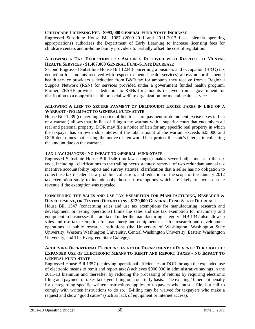#### **CHILDCARE LICENSING FEE - \$993,000 GENERAL FUND-STATE INCREASE**

Engrossed Substitute House Bill 1087 (2009-2011 and 2011-2013 fiscal biennia operating appropriations) authorizes the Department of Early Learning to increase licensing fees for childcare centers and in-home family providers to partially offset the cost of regulation.

#### **ALLOWING A TAX DEDUCTION FOR AMOUNTS RECEIVED WITH RESPECT TO MENTAL HEALTH SERVICES - \$1,467,000 GENERAL FUND-STATE DECREASE**

Second Engrossed Substitute House Bill 1224 (concerning a business and occupation (B&O) tax deduction for amounts received with respect to mental health services) allows nonprofit mental health service providers a deduction from B&O tax for amounts they receive from a Regional Support Network (RSN) for services provided under a government funded health program. Further, 2ESHB provides a deduction to RSNs for amounts received from a government for distribution to a nonprofit health or social welfare organization for mental health services.

#### **ALLOWING A LIEN TO SECURE PAYMENT OF DELINQUENT EXCISE TAXES IN LIEU OF A WARRANT - NO IMPACT TO GENERAL FUND-STATE**

House Bill 1239 (concerning a notice of lien to secure payment of delinquent excise taxes in lieu of a warrant) allows that, in lieu of filing a tax warrant with a superior court that encumbers all real and personal property, DOR may file a notice of lien for any specific real property in which the taxpayer has an ownership interest if the total amount of the warrant exceeds \$25,000 and DOR determines that issuing the notice of lien would best protect the state's interest in collecting the amount due on the warrant.

#### **TAX LAW CHANGES - NO IMPACT TO GENERAL FUND-STATE**

Engrossed Substitute House Bill 1346 (tax law changes) makes several adjustments to the tax code, including: clarifications to the trailing nexus statutes; removal of two redundant annual tax incentive accountability report and survey statutes; clarification that a seller has no obligation to collect use tax if federal law prohibits collection; and reduction of the scope of the January 2012 tax exemption study to include only those tax exemptions which are likely to increase state revenue if the exemption was repealed.

#### **CONCERNING THE SALES AND USE TAX EXEMPTION FOR MANUFACTURING, RESEARCH & DEVELOPMENT, OR TESTING OPERATIONS - \$129,000 GENERAL FUND-STATE DECREASE**

House Bill 1347 (concerning sales and use tax exemptions for manufacturing, research and development, or testing operations) limits the sales and use tax exemption for machinery and equipment to businesses that are taxed under the manufacturing category. HB 1347 also allows a sales and use tax exemption for machinery and equipment used for research and development operations at public research institutions (the University of Washington, Washington State University, Western Washington University, Central Washington University, Eastern Washington University, and The Evergreen State College).

#### **ACHIEVING OPERATIONAL EFFICIENCIES AT THE DEPARTMENT OF REVENUE THROUGH THE EXPANDED USE OF ELECTRONIC MEANS TO REMIT AND REPORT TAXES - NO IMPACT TO GENERAL FUND-STATE**

Engrossed House Bill 1357 (achieving operational efficiencies at DOR through the expanded use of electronic means to remit and report taxes) achieves \$906,000 in administrative savings in the 2011-13 biennium and thereafter by reducing the processing of returns by requiring electronic filing and payment of taxes taxpayers filing on a quarterly basis. The existing 10 percent penalty for disregarding specific written instructions applies to taxpayers who must e-file, but fail to comply with written instructions to do so. E-filing may be waived for taxpayers who make a request and show "good cause" (such as lack of equipment or internet access).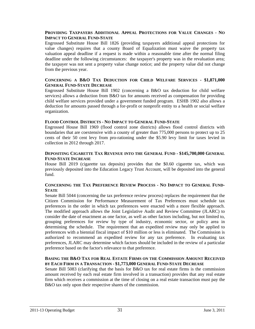#### **PROVIDING TAXPAYERS ADDITIONAL APPEAL PROTECTIONS FOR VALUE CHANGES - NO IMPACT TO GENERAL FUND-STATE**

Engrossed Substitute House Bill 1826 (providing taxpayers additional appeal protections for value changes) requires that a county Board of Equalization must waive the property tax valuation appeal deadline if a request is made within a reasonable time after the normal filing deadline under the following circumstances: the taxpayer's property was in the revaluation area; the taxpayer was not sent a property value change notice; and the property value did not change from the previous year.

#### **CONCERNING A B&O TAX DEDUCTION FOR CHILD WELFARE SERVICES - \$1,871,000 GENERAL FUND-STATE DECREASE**

Engrossed Substitute House Bill 1902 (concerning a B&O tax deduction for child welfare services) allows a deduction from B&O tax for amounts received as compensation for providing child welfare services provided under a government funded program. ESHB 1902 also allows a deduction for amounts passed through a for-profit or nonprofit entity to a health or social welfare organization.

#### **FLOOD CONTROL DISTRICTS - NO IMPACT TO GENERAL FUND-STATE**

Engrossed House Bill 1969 (flood control zone districts) allows flood control districts with boundaries that are coextensive with a county of greater than 775,000 persons to protect up to 25 cents of their 50 cent levy from pro-rationing under the \$5.90 levy limit for taxes levied in collection in 2012 through 2017.

#### **DEPOSITING CIGARETTE TAX REVENUE INTO THE GENERAL FUND - \$145,700,000 GENERAL FUND-STATE INCREASE**

House Bill 2019 (cigarette tax deposits) provides that the \$0.60 cigarette tax, which was previously deposited into the Education Legacy Trust Account, will be deposited into the general fund.

#### **CONCERNING THE TAX PREFERENCE REVIEW PROCESS - NO IMPACT TO GENERAL FUND-STATE**

Senate Bill 5044 (concerning the tax preference review process) replaces the requirement that the Citizen Commission for Performance Measurement of Tax Preferences must schedule tax preferences in the order in which tax preferences were enacted with a more flexible approach. The modified approach allows the Joint Legislative Audit and Review Committee (JLARC) to consider the date of enactment as one factor, as well as other factors including, but not limited to, grouping preferences for review by type of industry, economic sector, or policy area in determining the schedule. The requirement that an expedited review may only be applied to preferences with a biennial fiscal impact of \$10 million or less is eliminated. The Commission is authorized to recommend an expedited review for any tax preference. In evaluating tax preferences, JLARC may determine which factors should be included in the review of a particular preference based on the factor's relevance to that preference.

#### **BASING THE B&O TAX FOR REAL ESTATE FIRMS ON THE COMMISSION AMOUNT RECEIVED BY EACH FIRM IN A TRANSACTION - \$1,773,000 GENERAL FUND-STATE DECREASE**

Senate Bill 5083 (clarifying that the basis for B&O tax for real estate firms is the commission amount received by each real estate firm involved in a transaction) provides that any real estate firm which receives a commission at the time of closing on a real estate transaction must pay the B&O tax only upon their respective shares of the commission.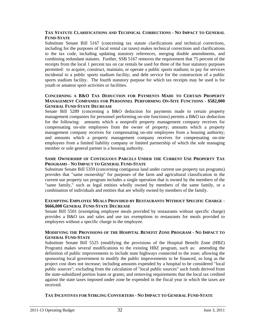#### **TAX STATUTE CLARIFICATIONS AND TECHNICAL CORRECTIONS - NO IMPACT TO GENERAL FUND-STATE**

Substitute Senate Bill 5167 (concerning tax statute clarifications and technical corrections, including for the purposes of local rental car taxes) makes technical corrections and clarifications to the tax code, including updating statutory references, merging double amendments, and combining redundant statutes. Further, SSB 5167 removes the requirement that 75 percent of the receipts from the local 1 percent tax on car rentals be used for three of the four statutory purposes permitted: to acquire, construct, maintain, or operate a public sports stadium; to pay for services incidental to a public sports stadium facility; and debt service for the construction of a public sports stadium facility. The fourth statutory purpose for which tax receipts may be used is for youth or amateur sport activities or facilities.

#### **CONCERNING A B&O TAX DEDUCTION FOR PAYMENTS MADE TO CERTAIN PROPERTY MANAGEMENT COMPANIES FOR PERSONNEL PERFORMING ON-SITE FUNCTIONS - \$582,000 GENERAL FUND-STATE DECREASE**

Senate Bill 5289 (concerning a B&O deduction for payments made to certain property management companies for personnel performing on-site functions) permits a B&O tax deduction for the following: amounts which a nonprofit property management company receives for compensating on-site employees from the owner of property; amounts which a property management company receives for compensating on-site employees from a housing authority; and amounts which a property management company receives for compensating on-site employees from a limited liability company or limited partnership of which the sole managing member or sole general partner is a housing authority.

#### **SAME OWNERSHIP OF CONTIGUOUS PARCELS UNDER THE CURRENT USE PROPERTY TAX PROGRAMS - NO IMPACT TO GENERAL FUND-STATE**

Substitute Senate Bill 5359 (concerning contiguous land under current use property tax programs) provides that "same ownership" for purposes of the farm and agricultural classification in the current use property tax program includes a single operation that is owned by the members of the "same family," such as legal entities wholly owned by members of the same family, or a combination of individuals and entities that are wholly owned by members of the family.

#### **EXEMPTING EMPLOYEE MEALS PROVIDED BY RESTAURANTS WITHOUT SPECIFIC CHARGE - \$666,000 GENERAL FUND-STATE DECREASE**

Senate Bill 5501 (exempting employee meals provided by restaurants without specific charge) provides a B&O tax and sales and use tax exemptions to restaurants for meals provided to employees without a specific charge to the employee.

#### **MODIFYING THE PROVISIONS OF THE HOSPITAL BENEFIT ZONE PROGRAM - NO IMPACT TO GENERAL FUND-STATE**

Substitute Senate Bill 5525 (modifying the provisions of the Hospital Benefit Zone (HBZ) Program) makes several modifications to the existing HBZ program, such as: amending the definition of public improvements to include state highways connected to the zone; allowing the sponsoring local government to modify the public improvements to be financed, so long as the project cost does not increase; including amounts expended by a hospital to be considered "local public sources"; excluding from the calculation of "local public sources" such funds derived from the state-subsidized portion loans or grants; and removing requirements that the local tax credited against the state taxes imposed under zone be expended in the fiscal year in which the taxes are received.

#### **TAX INCENTIVES FOR STIRLING CONVERTERS - NO IMPACT TO GENERAL FUND-STATE**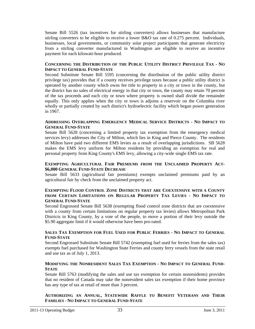Senate Bill 5526 (tax incentives for stirling converters) allows businesses that manufacture stirling converters to be eligible to receive a lower B&O tax rate of 0.275 percent. Individuals, businesses, local governments, or community solar project participants that generate electricity from a stirling converter manufactured in Washington are eligible to receive an incentive payment for each kilowatt-hour produced.

#### **CONCERNING THE DISTRIBUTION OF THE PUBLIC UTILITY DISTRICT PRIVILEGE TAX - NO IMPACT TO GENERAL FUND-STATE**

Second Substitute Senate Bill 5595 (concerning the distribution of the public utility district privilege tax) provides that if a county receives privilege taxes because a public utility district is operated by another county which owns fee title to property in a city or town in the county, but the district has no sales of electrical energy in that city or town, the county may retain 70 percent of the tax proceeds and each city or town where property is owned shall divide the remainder equally. This only applies when the city or town is adjoins a reservoir on the Columbia river wholly or partially created by such district's hydroelectric facility which began power generation in 1967.

#### **ADDRESSING OVERLAPPING EMERGENCY MEDICAL SERVICE DISTRICTS - NO IMPACT TO GENERAL FUND-STATE**

Senate Bill 5628 (concerning a limited property tax exemption from the emergency medical services levy) addresses the City of Milton, which lies in King and Pierce County. The residents of Milton have paid two different EMS levies as a result of overlapping jurisdictions. SB 5628 makes the EMS levy uniform for Milton residents by providing an exemption for real and personal property from King County's EMS levy, allowing a city-wide single EMS tax rate.

#### **EXEMPTING AGRICULTURAL FAIR PREMIUMS FROM THE UNCLAIMED PROPERTY ACT- \$6,000 GENERAL FUND-STATE DECREASE**

Senate Bill 5633 (agricultural fair premiums) exempts unclaimed premiums paid by an agricultural fair by check from the unclaimed property act.

#### **EXEMPTING FLOOD CONTROL ZONE DISTRICTS THAT ARE COEXTENSIVE WITH A COUNTY FROM CERTAIN LIMITATIONS ON REGULAR PROPERTY TAX LEVIES - NO IMPACT TO GENERAL FUND-STATE**

Second Engrossed Senate Bill 5638 (exempting flood control zone districts that are coextensive with a county from certain limitations on regular property tax levies) allows Metropolitan Park Districts in King County, by a vote of the people, to move a portion of their levy outside the \$5.90 aggregate limit if it would otherwise have been pro-rated.

#### **SALES TAX EXEMPTION FOR FUEL USED FOR PUBLIC FERRIES - NO IMPACT TO GENERAL FUND-STATE**

Second Engrossed Substitute Senate Bill 5742 (exempting fuel used for ferries from the sales tax) exempts fuel purchased for Washington State Ferries and county ferry vessels from the state retail and use tax as of July 1, 2013.

#### **MODIFYING THE NONRESIDENT SALES TAX EXEMPTION - NO IMPACT TO GENERAL FUND-STATE**

Senate Bill 5763 (modifying the sales and use tax exemption for certain nonresidents) provides that no resident of Canada may take the nonresident sales tax exemption if their home province has any type of tax at retail of more than 3 percent.

**AUTHORIZING AN ANNUAL, STATEWIDE RAFFLE TO BENEFIT VETERANS AND THEIR FAMILIES - NO IMPACT TO GENERAL FUND-STATE**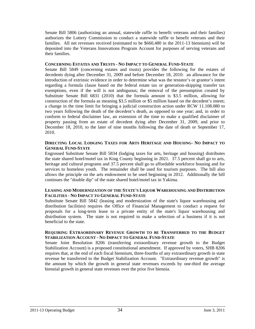Senate Bill 5806 (authorizing an annual, statewide raffle to benefit veterans and their families) authorizes the Lottery Commission to conduct a statewide raffle to benefit veterans and their families. All net revenues received (estimated to be \$660,480 in the 2011-13 biennium) will be deposited into the Veterans Innovations Program Account for purposes of serving veterans and their families.

#### **CONCERNING ESTATES AND TRUSTS - NO IMPACT TO GENERAL FUND-STATE**

Senate Bill 5849 (concerning estates and trusts) provides the following for the estates of decedents dying after December 31, 2009 and before December 18, 2010: an allowance for the introduction of extrinsic evidence in order to determine what was the testator's or grantor's intent regarding a formula clause based on the federal estate tax or generation-skipping transfer tax exemptions, even if the will is not ambiguous; the removal of the presumption created by Substitute Senate Bill 6831 (2010) that the formula amount is \$3.5 million, allowing for construction of the formula as meaning \$3.5 million or \$5 million based on the decedent's intent; a change in the time limit for bringing a judicial construction action under RCW 11.108.080 to two years following the death of the decedent's death, as opposed to one year; and, in order to conform to federal disclaimer law, an extension of the time to make a qualified disclaimer of property passing from an estate of decedent dying after December 31, 2009, and prior to December 18, 2010, to the later of nine months following the date of death or September 17, 2010.

#### **DIRECTING LOCAL LODGING TAXES FOR ARTS HERITAGE AND HOUSING- NO IMPACT TO GENERAL FUND-STATE**

Engrossed Substitute Senate Bill 5834 (lodging taxes for arts, heritage and housing) distributes the state shared hotel/motel tax in King County beginning in 2021. 37.5 percent shall go to arts, heritage and cultural programs and 37.5 percent shall go to affordable workforce housing and for services to homeless youth. The remainder shall be used for tourism purposes. The bill also allows the principle on the arts endowment to be used beginning in 2012. Additionally the bill continues the "double dip" of the state shared hotel/motel tax in Yakima.

#### **LEASING AND MODERNIZATION OF THE STATE'S LIQUOR WAREHOUSING AND DISTRIBUTION FACILITIES - NO IMPACT TO GENERAL FUND-STATE**

Substitute Senate Bill 5842 (leasing and modernization of the state's liquor warehousing and distribution facilities) requires the Office of Financial Management to conduct a request for proposals for a long-term lease to a private entity of the state's liquor warehousing and distribution system. The state is not required to make a selection of a business if it is not beneficial to the state.

#### **REQUIRING EXTRAORDINARY REVENUE GROWTH TO BE TRANSFERRED TO THE BUDGET STABILIZATION ACCOUNT - NO IMPACT TO GENERAL FUND-STATE**

Senate Joint Resolution 8206 (transferring extraordinary revenue growth to the Budget Stabilization Account) is a proposed constitutional amendment. If approved by voters, SHB 8206 requires that, at the end of each fiscal biennium, three-fourths of any extraordinary growth in state revenue be transferred to the Budget Stabilization Account. "Extraordinary revenue growth" is the amount by which the growth in general state revenues exceeds by one-third the average biennial growth in general state revenues over the prior five biennia.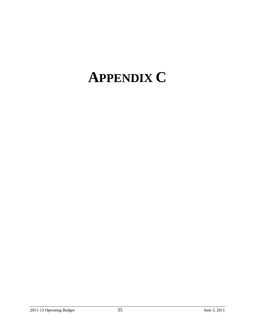# **APPENDIX C**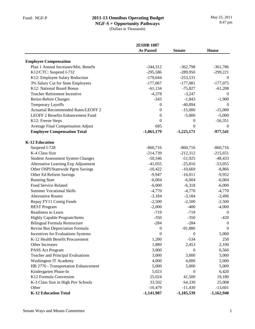|                                          | <b>2ESHB 1087</b> |                  |                  |
|------------------------------------------|-------------------|------------------|------------------|
|                                          | <b>As Passed</b>  | <b>Senate</b>    | <b>House</b>     |
| <b>Employee Compensation</b>             |                   |                  |                  |
| Plan 1 Annual Increases/Min. Benefit     | $-344,312$        | $-362,798$       | $-361,786$       |
| K12/CTC: Suspend I-732                   | $-295,586$        | $-289,950$       | $-299,221$       |
| K12: Employee Salary Reduction           | $-179,044$        | $-253,531$       | $\theta$         |
| 3% Salary Cut for State Employees        | $-177,067$        | $-177,081$       | $-177,075$       |
| K12: National Board Bonus                | $-61,134$         | $-75,827$        | $-61,208$        |
| <b>Teacher Retirement Incentive</b>      | $-4,378$          | $-3,247$         | $\theta$         |
| Retire-Rehire Changes                    | $-343$            | $-1,843$         | $-1,900$         |
| <b>Temporary Layoffs</b>                 | $\overline{0}$    | $-40,894$        | $\Omega$         |
| Actuarial Recommended Rates/LEOFF 2      | $\mathbf{0}$      | $-15,000$        | $-15,000$        |
| <b>LEOFF 2 Benefits Enhancement Fund</b> | $\mathbf{0}$      | $-5,000$         | $-5,000$         |
| K12: Freeze Steps                        | $\mathbf{0}$      | 0                | $-56,351$        |
| Average Final Compensation Adjust        | 685               | 0                | $\boldsymbol{0}$ |
| <b>Employee Compensation Total</b>       | $-1,061,179$      | $-1,225,171$     | $-977,541$       |
| <b>K-12 Education</b>                    |                   |                  |                  |
| Suspend I-728                            | $-860,716$        | $-860,716$       | $-860,716$       |
| K-4 Class Size                           | $-214,739$        | $-212,312$       | $-215,651$       |
| <b>Student Assessment System Changes</b> | $-50,546$         | $-51,925$        | $-48,433$        |
| Alternative Learning Exp Adjustment      | $-41,055$         | $-25,816$        | $-53,055$        |
| Other OSPI/Statewide Pgrm Savings        | $-10,422$         | $-10,669$        | $-8,866$         |
| Other Ed Reform Savings                  | $-9,947$          | $-16,011$        | $-9,952$         |
| <b>Running Start</b>                     | $-6,004$          | $-6,004$         | $-6,004$         |
| Food Service Related                     | $-6,000$          | $-6,318$         | $-6,000$         |
| <b>Summer Vocational Skills</b>          | $-4,770$          | $-4,770$         | $-4,770$         |
| <b>Alternative Routes</b>                | $-3,184$          | $-3,184$         | $-3,496$         |
| Repay FY11 Contig Funds                  | $-2,500$          | $-2,500$         | $-2,500$         |
| <b>BEST</b> Program                      | $-2,000$          | $-400$           | $-4,000$         |
| Readiness to Learn                       | $-719$            | $-719$           | $\theta$         |
| Highly Capable Program/Items             | $-350$            | $-350$           | $-420$           |
| <b>Bilingual Formula Restructure</b>     | $-284$            | $-284$           | $\boldsymbol{0}$ |
| Revise Bus Depreciation Formula          | $\boldsymbol{0}$  | $-91,880$        | $\mathbf{0}$     |
| Incentives for Evaluations Systems       | $\boldsymbol{0}$  | $\boldsymbol{0}$ | 5,000            |
| K-12 Health Benefit Procurement          | 1,200             | $-534$           | 250              |
| Other Increases                          | 1,889             | 2,453            | 2,100            |
| PASS Act Program                         | 3,000             | $\mathbf{0}$     | 6,566            |
| Teacher and Principal Evaluations        | 3,000             | 3,000            | 3,000            |
| Washington IT Academy                    | 4,000             | 4,000            | 2,000            |
| HB 2776 - Transportation Enhancement     | 5,000             | 5,000            | 5,000            |
| Kindergarten Phase-In                    | 5,023             | $\Omega$         | 6,420            |
| K12 Formula Conversion                   | 25,024            | 41,500           | 19,180           |
| K-3 Class Size in High Pov Schools       | 33,592            | 64,330           | 25,008           |
| Other                                    | $-10,479$         | $-11,430$        | $-13,601$        |
| <b>K-12 Education Total</b>              | $-1,141,987$      | $-1,185,539$     | $-1,162,940$     |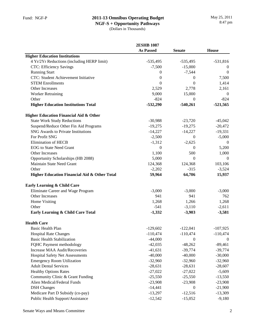## **2011-13 Omnibus Operating Budget**

**NGF-S + Opportunity Pathways** (Dollars in Thousands)

|                                                         | <b>2ESHB 1087</b> |                  |                  |
|---------------------------------------------------------|-------------------|------------------|------------------|
|                                                         | <b>As Passed</b>  | <b>Senate</b>    | <b>House</b>     |
| <b>Higher Education Institutions</b>                    |                   |                  |                  |
| 4 Yr/2Yr Reductions (including HERP limit)              | $-535,495$        | $-535,495$       | $-531,816$       |
| <b>CTC: Efficiency Savings</b>                          | $-7,500$          | $-15,000$        | $\theta$         |
| <b>Running Start</b>                                    | $\mathbf{0}$      | $-7,544$         | $\boldsymbol{0}$ |
| CTC: Student Achievement Initiative                     | $\boldsymbol{0}$  | 0                | 7,500            |
| <b>STEM Enrollments</b>                                 | $\mathbf{0}$      | $\theta$         | 1,414            |
| Other Increases                                         | 2,529             | 2,778            | 2,161            |
| <b>Worker Retraining</b>                                | 9,000             | 15,000           | $\theta$         |
| Other                                                   | $-824$            | $\mathbf{0}$     | $-824$           |
| <b>Higher Education Institutions Total</b>              | $-532,290$        | $-540,261$       | $-521,565$       |
| <b>Higher Education Financial Aid &amp; Other</b>       |                   |                  |                  |
| <b>State Work Study Reductions</b>                      | $-30,988$         | $-23,720$        | $-45,042$        |
| Suspend/Reduce Other Fin Aid Programs                   | $-19,275$         | $-19,275$        | $-20,472$        |
| <b>SNG Awards to Private Institutions</b>               | $-14,227$         | $-14,227$        | $-19,331$        |
| For Profit SNG                                          | $-2,500$          | $\mathbf{0}$     | $-5,000$         |
| <b>Elimination of HECB</b>                              | $-1,312$          | $-2,625$         | $\mathbf{0}$     |
| <b>EOG</b> to State Need Grant                          | $\theta$          | $\mathbf{0}$     | 5,200            |
| Other Increases                                         | 1,100             | 500              | 1,000            |
| Opportunity Scholarships (HB 2088)                      | 5,000             | $\mathbf{0}$     | $\theta$         |
| Maintain State Need Grant                               | 124,368           | 124,368          | 103,106          |
| Other                                                   | $-2,202$          | $-315$           | $-3,524$         |
| <b>Higher Education Financial Aid &amp; Other Total</b> | 59,964            | 64,706           | 15,937           |
| Early Learning & Child Care                             |                   |                  |                  |
| Eliminate Career and Wage Program                       | $-3,000$          | $-3,000$         | $-3,000$         |
| Other Increases                                         | 941               | 941              | 762              |
| Home Visiting                                           | 1,268             | 1,266            | 1,268            |
| Other                                                   | $-541$            | $-3,110$         | $-2,611$         |
| Early Learning & Child Care Total                       | $-1,332$          | $-3,903$         | $-3,581$         |
| <b>Health Care</b>                                      |                   |                  |                  |
| Basic Health Plan                                       | $-129,602$        | $-122,041$       | $-107,925$       |
| <b>Hospital Rate Changes</b>                            | $-110,474$        | $-110,474$       | $-110,474$       |
| <b>Basic Health Stabilization</b>                       | $-44,000$         | $\boldsymbol{0}$ | $\overline{0}$   |
| FQHC Payment methodology                                | $-42,035$         | $-48,262$        | $-89,461$        |
| Increase MAA Audit/Recoveries                           | $-41,631$         | $-39,774$        | $-39,774$        |
| <b>Hospital Safety Net Assessments</b>                  | $-40,000$         | $-40,000$        | $-30,000$        |
| <b>Emergency Room Utilization</b>                       | $-32,960$         | $-32,960$        | $-32,960$        |
| <b>Adult Dental Services</b>                            | $-28,631$         | $-28,631$        | $-28,607$        |
| <b>Healthy Options Rates</b>                            | $-27,022$         | $-27,022$        | $-5,609$         |
| Community Clinic & Grant Funding                        | $-25,550$         | $-25,550$        | $-13,550$        |
| Alien Medical/Federal Funds                             | $-23,908$         | $-23,908$        | $-23,908$        |
| <b>DSH</b> Changes                                      | $-14,441$         | $\theta$         | $-21,900$        |
| Medicare Part D Subsidy (co-pay)                        | $-13,297$         | $-12,516$        | $-13,309$        |
| Public Health Support/Assistance                        | $-12,542$         | $-15,052$        | $-9,180$         |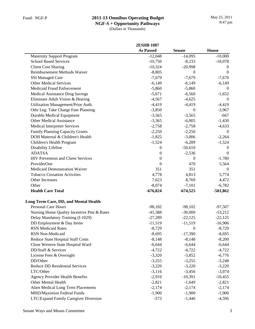|                                            | <b>2ESHB 1087</b> |                |                  |
|--------------------------------------------|-------------------|----------------|------------------|
|                                            | <b>As Passed</b>  | <b>Senate</b>  | <b>House</b>     |
| <b>Maternity Support Program</b>           | $-12,048$         | $-14,095$      | $-10,000$        |
| <b>School Based Services</b>               | $-10,750$         | $-8,233$       | $-18,078$        |
| <b>Client Cost Sharing</b>                 | $-10,324$         | $-20,998$      | $\boldsymbol{0}$ |
| Reimbursement Methods Waiver               | $-8,805$          | $\theta$       | $\theta$         |
| <b>SSI Managed Care</b>                    | $-7,679$          | $-7,679$       | $-7,670$         |
| <b>Other Medical Services</b>              | $-6,149$          | $-6,149$       | $-6,149$         |
| Medicaid Fraud Enforcement                 | $-5,860$          | $-5,860$       | $\theta$         |
| Medical Assistance Drug Savings            | $-5,671$          | $-6,560$       | $-1,652$         |
| Eliminate Adult Vision & Hearing           | $-4,567$          | $-4,625$       | $\Omega$         |
| Utilization Management/Prior Auth.         | $-4,419$          | $-4,419$       | $-4,419$         |
| Othr Leg: Take Charge Fam Planning         | $-3,850$          | $\left($       | $-3,967$         |
| <b>Durable Medical Equipment</b>           | $-3,565$          | $-3,565$       | $-667$           |
| <b>Other Medical Assistance</b>            | $-3,365$          | $-6,005$       | $-1,430$         |
| <b>Medical Interpreter Services</b>        | $-2,758$          | $-2,758$       | $-4,633$         |
| Family Planning Capacity Grants            | $-2,250$          | $-2,250$       | $\mathbf{0}$     |
| DOH Maternal & Children's Health           | $-1,825$          | $-3,006$       | $-2,264$         |
| Children's Health Program                  | $-1,524$          | $-6,289$       | $-1,524$         |
| Disability Lifeline                        | $\boldsymbol{0}$  | $-50,610$      | $\theta$         |
| <b>ADATSA</b>                              | $\mathbf{0}$      | $-2,536$       | $\overline{0}$   |
| HIV Prevention and Client Services         | $\mathbf{0}$      | $\theta$       | $-1,780$         |
| ProviderOne                                | $\mathbf{0}$      | 470            | 5,564            |
| Medicaid Demonstration Waiver              | 351               | 351            | $\theta$         |
| <b>Tobacco Cessation Activities</b>        | 4,778             | 4,813          | 5,774            |
| Other Increases                            | 7,623             | 8,769          | 4,472            |
| Other                                      | $-8,074$          | $-7,101$       | $-6,782$         |
| <b>Health Care Total</b>                   | $-676,824$        | $-674,525$     | $-581,862$       |
| Long Term Care, DD, and Mental Health      |                   |                |                  |
| <b>Personal Care Hours</b>                 | $-98,102$         | $-98,102$      | $-97,507$        |
| Nursing Home Quality Incentive Pmt & Rates | $-41,388$         | $-30,000$      | $-53,212$        |
| Delay Mandatory Training (I-1029)          | $-27,289$         | $-22,125$      | $-22,125$        |
| DD Employment & Day Items                  | $-11,519$         | $-11,519$      | $-16,906$        |
| <b>RSN</b> Medicaid Rates                  | $-8,729$          | $\overline{0}$ | $-8,729$         |
| <b>RSN Non-Medicaid</b>                    | $-8,695$          | $-17,390$      | $-8,695$         |
| Reduce State Hospital Staff Costs          | $-8,148$          | $-8,148$       | $-8,200$         |
| Close Western State Hospital Ward          | $-6,644$          | $-6,644$       | $-6,644$         |
| DD/Staff & Services                        | $-4,722$          | $-4,722$       | $-4,722$         |
| License Fees & Oversight                   | $-3,320$          | $-3,852$       | $-6,776$         |
| DD/Other                                   | $-3,255$          | $-3,255$       | $-3,248$         |
| Reduce DD Residential Services             | $-3,220$          | $-3,220$       | $-3,220$         |
| LTC/Other                                  | $-3,116$          | $-3,456$       | $-3,074$         |
| <b>Agency Provider Health Benefits</b>     | $-2,910$          | $-10,391$      | $-10,455$        |
| Other Mental Health                        | $-2,821$          | $-1,649$       | $-2,821$         |
| Alien Medical Long Term Placements         | $-2,174$          | $-2,174$       | $-2,174$         |
| MHD/Maximize Federal Funds                 | $-1,900$          | $-1,900$       | $-1,900$         |
| LTC/Expand Family Caregiver Diversion      | $-573$            | $-1,446$       | $-4,596$         |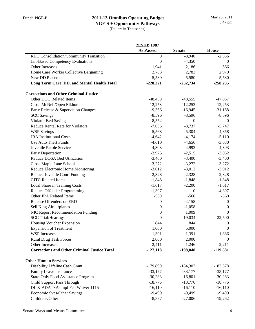| <b>As Passed</b><br><b>House</b><br><b>Senate</b><br>$-8,940$<br>RHC Consolidation/Community Transition<br>$\boldsymbol{0}$<br>$-2,356$<br>Jail-Based Competency Evaluations<br>$\boldsymbol{0}$<br>$-4,350$<br>$\mathbf{0}$<br>566<br>Other Increases<br>1,941<br>2,186<br>Home Care Worker Collective Bargaining<br>2,783<br>2,979<br>2,783<br><b>New DD Placements</b><br>5,580<br>5,580<br>5,580<br>Long Term Care, DD, and Mental Health Total<br>$-228,221$<br>$-232,734$<br>$-258,235$<br><b>Corrections and Other Criminal Justice</b><br>Other DOC Related Items<br>$-48,430$<br>$-48,555$<br>$-47,067$<br>Close McNeil/Open Elkhorn<br>$-12,253$<br>$-12,253$<br>$-12,253$<br>Early Release & Supervision Changes<br>$-9,366$<br>$-16,945$<br>$-31,168$<br><b>SCC</b> Savings<br>$-8,596$<br>$-8,596$<br>$-8,596$<br>Violator Bed Savings<br>$-8,552$<br>$\boldsymbol{0}$<br>$\boldsymbol{0}$<br>$-7,035$<br>$-8,737$<br><b>Reduce Rental Rate for Violators</b><br>$-5,747$<br><b>WSP Savings</b><br>$-5,568$<br>$-4,858$<br>$-5,304$<br><b>JRA</b> Institutional Costs<br>$-4,642$<br>$-4,174$<br>$-5,110$<br>Use Auto Theft Funds<br>$-4,610$<br>$-3,680$<br>$-4,656$<br>Juvenile Parole Services<br>$-4,303$<br>$-4,993$<br>$-4,303$<br><b>Early Deportation</b><br>$-3,975$<br>$-2,515$<br>$-3,062$<br>$-3,400$<br>Reduce DOSA Bed Utilization<br>$-3,400$<br>$-3,400$<br>$-3,272$<br>Close Maple Lane School<br>$-3,272$<br>$-3,272$<br>Reduce Electronic Home Monitoring<br>$-3,012$<br>$-3,012$<br>$-3,012$<br>Reduce Juvenile Court Funding<br>$-2,328$<br>$-2,328$<br>$-2,328$<br><b>CJTC</b> Related Items<br>$-1,848$<br>$-1,848$<br>$-1,848$<br>Local Share in Training Costs<br>$-1,617$<br>$-2,200$<br>$-1,617$<br>Reduce Offender Programming<br>$-1,397$<br>$-4,397$<br>$\mathbf{0}$<br>Other JRA Related Items<br>$-560$<br>$-560$<br>$-560$<br>Release Offenders on ERD<br>$-4,158$<br>0<br>$\boldsymbol{0}$<br>Sell King Air airplanes<br>$-1,058$<br>0<br>0<br>NIC Report Recommendation Funding<br>$\boldsymbol{0}$<br>1,009<br>$\theta$<br><b>SCC Trial/Hearings</b><br>22,500<br>$\Omega$<br>19,034<br>Housing Voucher Expansion<br>844<br>844<br>$\boldsymbol{0}$<br>1,000<br>5,000<br><b>Expansion of Treatment</b><br>$\mathbf{0}$<br><b>WSP</b> Increases<br>1,391<br>1,391<br>1,886<br>2,000<br><b>Rural Drug Task Forces</b><br>2,000<br>$\overline{0}$<br>Other Increases<br>2,411<br>1,246<br>2,211<br><b>Corrections and Other Criminal Justice Total</b><br>$-127,118$<br>$-108,040$<br>$-119,681$<br><b>Other Human Services</b><br>Disability Lifeline Cash Grant<br>$-179,890$<br>$-184,303$<br>$-183,578$<br>Family Leave Insurance<br>$-33,177$<br>$-33,177$<br>$-33,177$<br><b>State-Only Food Assistance Program</b><br>$-30,283$<br>$-16,801$<br>$-30,283$<br>Child Support Pass Through<br>$-18,776$<br>$-18,776$<br>$-18,776$<br>DL & ADATSA-Impl Fed Waiver 1115<br>$-16, 110$<br>$-16,110$<br>$-16,110$<br>Economic Svcs/Other Savings<br>$-9,499$<br>$-9,499$<br>$-9,499$ |                 | <b>2ESHB 1087</b> |           |           |
|------------------------------------------------------------------------------------------------------------------------------------------------------------------------------------------------------------------------------------------------------------------------------------------------------------------------------------------------------------------------------------------------------------------------------------------------------------------------------------------------------------------------------------------------------------------------------------------------------------------------------------------------------------------------------------------------------------------------------------------------------------------------------------------------------------------------------------------------------------------------------------------------------------------------------------------------------------------------------------------------------------------------------------------------------------------------------------------------------------------------------------------------------------------------------------------------------------------------------------------------------------------------------------------------------------------------------------------------------------------------------------------------------------------------------------------------------------------------------------------------------------------------------------------------------------------------------------------------------------------------------------------------------------------------------------------------------------------------------------------------------------------------------------------------------------------------------------------------------------------------------------------------------------------------------------------------------------------------------------------------------------------------------------------------------------------------------------------------------------------------------------------------------------------------------------------------------------------------------------------------------------------------------------------------------------------------------------------------------------------------------------------------------------------------------------------------------------------------------------------------------------------------------------------------------------------------------------------------------------------------------------------------------------------------------------------------------------------------------------------------------------------------------------------------------------------------------------------------------------------------------------------------------------------------------------------------------------------------------------------------------------------------------------|-----------------|-------------------|-----------|-----------|
|                                                                                                                                                                                                                                                                                                                                                                                                                                                                                                                                                                                                                                                                                                                                                                                                                                                                                                                                                                                                                                                                                                                                                                                                                                                                                                                                                                                                                                                                                                                                                                                                                                                                                                                                                                                                                                                                                                                                                                                                                                                                                                                                                                                                                                                                                                                                                                                                                                                                                                                                                                                                                                                                                                                                                                                                                                                                                                                                                                                                                                    |                 |                   |           |           |
|                                                                                                                                                                                                                                                                                                                                                                                                                                                                                                                                                                                                                                                                                                                                                                                                                                                                                                                                                                                                                                                                                                                                                                                                                                                                                                                                                                                                                                                                                                                                                                                                                                                                                                                                                                                                                                                                                                                                                                                                                                                                                                                                                                                                                                                                                                                                                                                                                                                                                                                                                                                                                                                                                                                                                                                                                                                                                                                                                                                                                                    |                 |                   |           |           |
|                                                                                                                                                                                                                                                                                                                                                                                                                                                                                                                                                                                                                                                                                                                                                                                                                                                                                                                                                                                                                                                                                                                                                                                                                                                                                                                                                                                                                                                                                                                                                                                                                                                                                                                                                                                                                                                                                                                                                                                                                                                                                                                                                                                                                                                                                                                                                                                                                                                                                                                                                                                                                                                                                                                                                                                                                                                                                                                                                                                                                                    |                 |                   |           |           |
|                                                                                                                                                                                                                                                                                                                                                                                                                                                                                                                                                                                                                                                                                                                                                                                                                                                                                                                                                                                                                                                                                                                                                                                                                                                                                                                                                                                                                                                                                                                                                                                                                                                                                                                                                                                                                                                                                                                                                                                                                                                                                                                                                                                                                                                                                                                                                                                                                                                                                                                                                                                                                                                                                                                                                                                                                                                                                                                                                                                                                                    |                 |                   |           |           |
|                                                                                                                                                                                                                                                                                                                                                                                                                                                                                                                                                                                                                                                                                                                                                                                                                                                                                                                                                                                                                                                                                                                                                                                                                                                                                                                                                                                                                                                                                                                                                                                                                                                                                                                                                                                                                                                                                                                                                                                                                                                                                                                                                                                                                                                                                                                                                                                                                                                                                                                                                                                                                                                                                                                                                                                                                                                                                                                                                                                                                                    |                 |                   |           |           |
|                                                                                                                                                                                                                                                                                                                                                                                                                                                                                                                                                                                                                                                                                                                                                                                                                                                                                                                                                                                                                                                                                                                                                                                                                                                                                                                                                                                                                                                                                                                                                                                                                                                                                                                                                                                                                                                                                                                                                                                                                                                                                                                                                                                                                                                                                                                                                                                                                                                                                                                                                                                                                                                                                                                                                                                                                                                                                                                                                                                                                                    |                 |                   |           |           |
|                                                                                                                                                                                                                                                                                                                                                                                                                                                                                                                                                                                                                                                                                                                                                                                                                                                                                                                                                                                                                                                                                                                                                                                                                                                                                                                                                                                                                                                                                                                                                                                                                                                                                                                                                                                                                                                                                                                                                                                                                                                                                                                                                                                                                                                                                                                                                                                                                                                                                                                                                                                                                                                                                                                                                                                                                                                                                                                                                                                                                                    |                 |                   |           |           |
|                                                                                                                                                                                                                                                                                                                                                                                                                                                                                                                                                                                                                                                                                                                                                                                                                                                                                                                                                                                                                                                                                                                                                                                                                                                                                                                                                                                                                                                                                                                                                                                                                                                                                                                                                                                                                                                                                                                                                                                                                                                                                                                                                                                                                                                                                                                                                                                                                                                                                                                                                                                                                                                                                                                                                                                                                                                                                                                                                                                                                                    |                 |                   |           |           |
|                                                                                                                                                                                                                                                                                                                                                                                                                                                                                                                                                                                                                                                                                                                                                                                                                                                                                                                                                                                                                                                                                                                                                                                                                                                                                                                                                                                                                                                                                                                                                                                                                                                                                                                                                                                                                                                                                                                                                                                                                                                                                                                                                                                                                                                                                                                                                                                                                                                                                                                                                                                                                                                                                                                                                                                                                                                                                                                                                                                                                                    |                 |                   |           |           |
|                                                                                                                                                                                                                                                                                                                                                                                                                                                                                                                                                                                                                                                                                                                                                                                                                                                                                                                                                                                                                                                                                                                                                                                                                                                                                                                                                                                                                                                                                                                                                                                                                                                                                                                                                                                                                                                                                                                                                                                                                                                                                                                                                                                                                                                                                                                                                                                                                                                                                                                                                                                                                                                                                                                                                                                                                                                                                                                                                                                                                                    |                 |                   |           |           |
|                                                                                                                                                                                                                                                                                                                                                                                                                                                                                                                                                                                                                                                                                                                                                                                                                                                                                                                                                                                                                                                                                                                                                                                                                                                                                                                                                                                                                                                                                                                                                                                                                                                                                                                                                                                                                                                                                                                                                                                                                                                                                                                                                                                                                                                                                                                                                                                                                                                                                                                                                                                                                                                                                                                                                                                                                                                                                                                                                                                                                                    |                 |                   |           |           |
|                                                                                                                                                                                                                                                                                                                                                                                                                                                                                                                                                                                                                                                                                                                                                                                                                                                                                                                                                                                                                                                                                                                                                                                                                                                                                                                                                                                                                                                                                                                                                                                                                                                                                                                                                                                                                                                                                                                                                                                                                                                                                                                                                                                                                                                                                                                                                                                                                                                                                                                                                                                                                                                                                                                                                                                                                                                                                                                                                                                                                                    |                 |                   |           |           |
|                                                                                                                                                                                                                                                                                                                                                                                                                                                                                                                                                                                                                                                                                                                                                                                                                                                                                                                                                                                                                                                                                                                                                                                                                                                                                                                                                                                                                                                                                                                                                                                                                                                                                                                                                                                                                                                                                                                                                                                                                                                                                                                                                                                                                                                                                                                                                                                                                                                                                                                                                                                                                                                                                                                                                                                                                                                                                                                                                                                                                                    |                 |                   |           |           |
|                                                                                                                                                                                                                                                                                                                                                                                                                                                                                                                                                                                                                                                                                                                                                                                                                                                                                                                                                                                                                                                                                                                                                                                                                                                                                                                                                                                                                                                                                                                                                                                                                                                                                                                                                                                                                                                                                                                                                                                                                                                                                                                                                                                                                                                                                                                                                                                                                                                                                                                                                                                                                                                                                                                                                                                                                                                                                                                                                                                                                                    |                 |                   |           |           |
|                                                                                                                                                                                                                                                                                                                                                                                                                                                                                                                                                                                                                                                                                                                                                                                                                                                                                                                                                                                                                                                                                                                                                                                                                                                                                                                                                                                                                                                                                                                                                                                                                                                                                                                                                                                                                                                                                                                                                                                                                                                                                                                                                                                                                                                                                                                                                                                                                                                                                                                                                                                                                                                                                                                                                                                                                                                                                                                                                                                                                                    |                 |                   |           |           |
|                                                                                                                                                                                                                                                                                                                                                                                                                                                                                                                                                                                                                                                                                                                                                                                                                                                                                                                                                                                                                                                                                                                                                                                                                                                                                                                                                                                                                                                                                                                                                                                                                                                                                                                                                                                                                                                                                                                                                                                                                                                                                                                                                                                                                                                                                                                                                                                                                                                                                                                                                                                                                                                                                                                                                                                                                                                                                                                                                                                                                                    |                 |                   |           |           |
|                                                                                                                                                                                                                                                                                                                                                                                                                                                                                                                                                                                                                                                                                                                                                                                                                                                                                                                                                                                                                                                                                                                                                                                                                                                                                                                                                                                                                                                                                                                                                                                                                                                                                                                                                                                                                                                                                                                                                                                                                                                                                                                                                                                                                                                                                                                                                                                                                                                                                                                                                                                                                                                                                                                                                                                                                                                                                                                                                                                                                                    |                 |                   |           |           |
|                                                                                                                                                                                                                                                                                                                                                                                                                                                                                                                                                                                                                                                                                                                                                                                                                                                                                                                                                                                                                                                                                                                                                                                                                                                                                                                                                                                                                                                                                                                                                                                                                                                                                                                                                                                                                                                                                                                                                                                                                                                                                                                                                                                                                                                                                                                                                                                                                                                                                                                                                                                                                                                                                                                                                                                                                                                                                                                                                                                                                                    |                 |                   |           |           |
|                                                                                                                                                                                                                                                                                                                                                                                                                                                                                                                                                                                                                                                                                                                                                                                                                                                                                                                                                                                                                                                                                                                                                                                                                                                                                                                                                                                                                                                                                                                                                                                                                                                                                                                                                                                                                                                                                                                                                                                                                                                                                                                                                                                                                                                                                                                                                                                                                                                                                                                                                                                                                                                                                                                                                                                                                                                                                                                                                                                                                                    |                 |                   |           |           |
|                                                                                                                                                                                                                                                                                                                                                                                                                                                                                                                                                                                                                                                                                                                                                                                                                                                                                                                                                                                                                                                                                                                                                                                                                                                                                                                                                                                                                                                                                                                                                                                                                                                                                                                                                                                                                                                                                                                                                                                                                                                                                                                                                                                                                                                                                                                                                                                                                                                                                                                                                                                                                                                                                                                                                                                                                                                                                                                                                                                                                                    |                 |                   |           |           |
|                                                                                                                                                                                                                                                                                                                                                                                                                                                                                                                                                                                                                                                                                                                                                                                                                                                                                                                                                                                                                                                                                                                                                                                                                                                                                                                                                                                                                                                                                                                                                                                                                                                                                                                                                                                                                                                                                                                                                                                                                                                                                                                                                                                                                                                                                                                                                                                                                                                                                                                                                                                                                                                                                                                                                                                                                                                                                                                                                                                                                                    |                 |                   |           |           |
|                                                                                                                                                                                                                                                                                                                                                                                                                                                                                                                                                                                                                                                                                                                                                                                                                                                                                                                                                                                                                                                                                                                                                                                                                                                                                                                                                                                                                                                                                                                                                                                                                                                                                                                                                                                                                                                                                                                                                                                                                                                                                                                                                                                                                                                                                                                                                                                                                                                                                                                                                                                                                                                                                                                                                                                                                                                                                                                                                                                                                                    |                 |                   |           |           |
|                                                                                                                                                                                                                                                                                                                                                                                                                                                                                                                                                                                                                                                                                                                                                                                                                                                                                                                                                                                                                                                                                                                                                                                                                                                                                                                                                                                                                                                                                                                                                                                                                                                                                                                                                                                                                                                                                                                                                                                                                                                                                                                                                                                                                                                                                                                                                                                                                                                                                                                                                                                                                                                                                                                                                                                                                                                                                                                                                                                                                                    |                 |                   |           |           |
|                                                                                                                                                                                                                                                                                                                                                                                                                                                                                                                                                                                                                                                                                                                                                                                                                                                                                                                                                                                                                                                                                                                                                                                                                                                                                                                                                                                                                                                                                                                                                                                                                                                                                                                                                                                                                                                                                                                                                                                                                                                                                                                                                                                                                                                                                                                                                                                                                                                                                                                                                                                                                                                                                                                                                                                                                                                                                                                                                                                                                                    |                 |                   |           |           |
|                                                                                                                                                                                                                                                                                                                                                                                                                                                                                                                                                                                                                                                                                                                                                                                                                                                                                                                                                                                                                                                                                                                                                                                                                                                                                                                                                                                                                                                                                                                                                                                                                                                                                                                                                                                                                                                                                                                                                                                                                                                                                                                                                                                                                                                                                                                                                                                                                                                                                                                                                                                                                                                                                                                                                                                                                                                                                                                                                                                                                                    |                 |                   |           |           |
|                                                                                                                                                                                                                                                                                                                                                                                                                                                                                                                                                                                                                                                                                                                                                                                                                                                                                                                                                                                                                                                                                                                                                                                                                                                                                                                                                                                                                                                                                                                                                                                                                                                                                                                                                                                                                                                                                                                                                                                                                                                                                                                                                                                                                                                                                                                                                                                                                                                                                                                                                                                                                                                                                                                                                                                                                                                                                                                                                                                                                                    |                 |                   |           |           |
|                                                                                                                                                                                                                                                                                                                                                                                                                                                                                                                                                                                                                                                                                                                                                                                                                                                                                                                                                                                                                                                                                                                                                                                                                                                                                                                                                                                                                                                                                                                                                                                                                                                                                                                                                                                                                                                                                                                                                                                                                                                                                                                                                                                                                                                                                                                                                                                                                                                                                                                                                                                                                                                                                                                                                                                                                                                                                                                                                                                                                                    |                 |                   |           |           |
|                                                                                                                                                                                                                                                                                                                                                                                                                                                                                                                                                                                                                                                                                                                                                                                                                                                                                                                                                                                                                                                                                                                                                                                                                                                                                                                                                                                                                                                                                                                                                                                                                                                                                                                                                                                                                                                                                                                                                                                                                                                                                                                                                                                                                                                                                                                                                                                                                                                                                                                                                                                                                                                                                                                                                                                                                                                                                                                                                                                                                                    |                 |                   |           |           |
|                                                                                                                                                                                                                                                                                                                                                                                                                                                                                                                                                                                                                                                                                                                                                                                                                                                                                                                                                                                                                                                                                                                                                                                                                                                                                                                                                                                                                                                                                                                                                                                                                                                                                                                                                                                                                                                                                                                                                                                                                                                                                                                                                                                                                                                                                                                                                                                                                                                                                                                                                                                                                                                                                                                                                                                                                                                                                                                                                                                                                                    |                 |                   |           |           |
|                                                                                                                                                                                                                                                                                                                                                                                                                                                                                                                                                                                                                                                                                                                                                                                                                                                                                                                                                                                                                                                                                                                                                                                                                                                                                                                                                                                                                                                                                                                                                                                                                                                                                                                                                                                                                                                                                                                                                                                                                                                                                                                                                                                                                                                                                                                                                                                                                                                                                                                                                                                                                                                                                                                                                                                                                                                                                                                                                                                                                                    |                 |                   |           |           |
|                                                                                                                                                                                                                                                                                                                                                                                                                                                                                                                                                                                                                                                                                                                                                                                                                                                                                                                                                                                                                                                                                                                                                                                                                                                                                                                                                                                                                                                                                                                                                                                                                                                                                                                                                                                                                                                                                                                                                                                                                                                                                                                                                                                                                                                                                                                                                                                                                                                                                                                                                                                                                                                                                                                                                                                                                                                                                                                                                                                                                                    |                 |                   |           |           |
|                                                                                                                                                                                                                                                                                                                                                                                                                                                                                                                                                                                                                                                                                                                                                                                                                                                                                                                                                                                                                                                                                                                                                                                                                                                                                                                                                                                                                                                                                                                                                                                                                                                                                                                                                                                                                                                                                                                                                                                                                                                                                                                                                                                                                                                                                                                                                                                                                                                                                                                                                                                                                                                                                                                                                                                                                                                                                                                                                                                                                                    |                 |                   |           |           |
|                                                                                                                                                                                                                                                                                                                                                                                                                                                                                                                                                                                                                                                                                                                                                                                                                                                                                                                                                                                                                                                                                                                                                                                                                                                                                                                                                                                                                                                                                                                                                                                                                                                                                                                                                                                                                                                                                                                                                                                                                                                                                                                                                                                                                                                                                                                                                                                                                                                                                                                                                                                                                                                                                                                                                                                                                                                                                                                                                                                                                                    |                 |                   |           |           |
|                                                                                                                                                                                                                                                                                                                                                                                                                                                                                                                                                                                                                                                                                                                                                                                                                                                                                                                                                                                                                                                                                                                                                                                                                                                                                                                                                                                                                                                                                                                                                                                                                                                                                                                                                                                                                                                                                                                                                                                                                                                                                                                                                                                                                                                                                                                                                                                                                                                                                                                                                                                                                                                                                                                                                                                                                                                                                                                                                                                                                                    |                 |                   |           |           |
|                                                                                                                                                                                                                                                                                                                                                                                                                                                                                                                                                                                                                                                                                                                                                                                                                                                                                                                                                                                                                                                                                                                                                                                                                                                                                                                                                                                                                                                                                                                                                                                                                                                                                                                                                                                                                                                                                                                                                                                                                                                                                                                                                                                                                                                                                                                                                                                                                                                                                                                                                                                                                                                                                                                                                                                                                                                                                                                                                                                                                                    |                 |                   |           |           |
|                                                                                                                                                                                                                                                                                                                                                                                                                                                                                                                                                                                                                                                                                                                                                                                                                                                                                                                                                                                                                                                                                                                                                                                                                                                                                                                                                                                                                                                                                                                                                                                                                                                                                                                                                                                                                                                                                                                                                                                                                                                                                                                                                                                                                                                                                                                                                                                                                                                                                                                                                                                                                                                                                                                                                                                                                                                                                                                                                                                                                                    |                 |                   |           |           |
|                                                                                                                                                                                                                                                                                                                                                                                                                                                                                                                                                                                                                                                                                                                                                                                                                                                                                                                                                                                                                                                                                                                                                                                                                                                                                                                                                                                                                                                                                                                                                                                                                                                                                                                                                                                                                                                                                                                                                                                                                                                                                                                                                                                                                                                                                                                                                                                                                                                                                                                                                                                                                                                                                                                                                                                                                                                                                                                                                                                                                                    |                 |                   |           |           |
|                                                                                                                                                                                                                                                                                                                                                                                                                                                                                                                                                                                                                                                                                                                                                                                                                                                                                                                                                                                                                                                                                                                                                                                                                                                                                                                                                                                                                                                                                                                                                                                                                                                                                                                                                                                                                                                                                                                                                                                                                                                                                                                                                                                                                                                                                                                                                                                                                                                                                                                                                                                                                                                                                                                                                                                                                                                                                                                                                                                                                                    |                 |                   |           |           |
|                                                                                                                                                                                                                                                                                                                                                                                                                                                                                                                                                                                                                                                                                                                                                                                                                                                                                                                                                                                                                                                                                                                                                                                                                                                                                                                                                                                                                                                                                                                                                                                                                                                                                                                                                                                                                                                                                                                                                                                                                                                                                                                                                                                                                                                                                                                                                                                                                                                                                                                                                                                                                                                                                                                                                                                                                                                                                                                                                                                                                                    |                 |                   |           |           |
|                                                                                                                                                                                                                                                                                                                                                                                                                                                                                                                                                                                                                                                                                                                                                                                                                                                                                                                                                                                                                                                                                                                                                                                                                                                                                                                                                                                                                                                                                                                                                                                                                                                                                                                                                                                                                                                                                                                                                                                                                                                                                                                                                                                                                                                                                                                                                                                                                                                                                                                                                                                                                                                                                                                                                                                                                                                                                                                                                                                                                                    |                 |                   |           |           |
|                                                                                                                                                                                                                                                                                                                                                                                                                                                                                                                                                                                                                                                                                                                                                                                                                                                                                                                                                                                                                                                                                                                                                                                                                                                                                                                                                                                                                                                                                                                                                                                                                                                                                                                                                                                                                                                                                                                                                                                                                                                                                                                                                                                                                                                                                                                                                                                                                                                                                                                                                                                                                                                                                                                                                                                                                                                                                                                                                                                                                                    |                 |                   |           |           |
|                                                                                                                                                                                                                                                                                                                                                                                                                                                                                                                                                                                                                                                                                                                                                                                                                                                                                                                                                                                                                                                                                                                                                                                                                                                                                                                                                                                                                                                                                                                                                                                                                                                                                                                                                                                                                                                                                                                                                                                                                                                                                                                                                                                                                                                                                                                                                                                                                                                                                                                                                                                                                                                                                                                                                                                                                                                                                                                                                                                                                                    |                 |                   |           |           |
|                                                                                                                                                                                                                                                                                                                                                                                                                                                                                                                                                                                                                                                                                                                                                                                                                                                                                                                                                                                                                                                                                                                                                                                                                                                                                                                                                                                                                                                                                                                                                                                                                                                                                                                                                                                                                                                                                                                                                                                                                                                                                                                                                                                                                                                                                                                                                                                                                                                                                                                                                                                                                                                                                                                                                                                                                                                                                                                                                                                                                                    |                 |                   |           |           |
|                                                                                                                                                                                                                                                                                                                                                                                                                                                                                                                                                                                                                                                                                                                                                                                                                                                                                                                                                                                                                                                                                                                                                                                                                                                                                                                                                                                                                                                                                                                                                                                                                                                                                                                                                                                                                                                                                                                                                                                                                                                                                                                                                                                                                                                                                                                                                                                                                                                                                                                                                                                                                                                                                                                                                                                                                                                                                                                                                                                                                                    |                 |                   |           |           |
|                                                                                                                                                                                                                                                                                                                                                                                                                                                                                                                                                                                                                                                                                                                                                                                                                                                                                                                                                                                                                                                                                                                                                                                                                                                                                                                                                                                                                                                                                                                                                                                                                                                                                                                                                                                                                                                                                                                                                                                                                                                                                                                                                                                                                                                                                                                                                                                                                                                                                                                                                                                                                                                                                                                                                                                                                                                                                                                                                                                                                                    | Childrens/Other | $-8,877$          | $-27,006$ | $-19,262$ |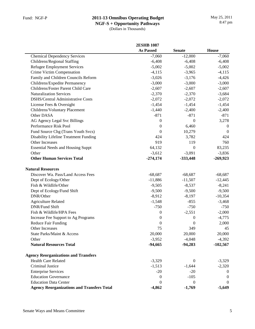|                                                   | <b>2ESHB 1087</b> |                |                |
|---------------------------------------------------|-------------------|----------------|----------------|
|                                                   | <b>As Passed</b>  | <b>Senate</b>  | <b>House</b>   |
| <b>Chemical Dependency Services</b>               | $-7,060$          | $-12,000$      | $-7,060$       |
| Childrens/Regional Staffing                       | $-6,408$          | $-6,408$       | $-6,408$       |
| <b>Refugee Employment Services</b>                | $-5,002$          | $-5,002$       | $-5,002$       |
| Crime Victim Compensation                         | $-4,115$          | $-3,965$       | $-4,115$       |
| Family and Children Councils Reform               | $-3,026$          | $-3,176$       | $-4,426$       |
| Childrens/Expedite Permanency                     | $-3,000$          | $-3,000$       | $-3,000$       |
| Childrens/Foster Parent Child Care                | $-2,607$          | $-2,607$       | $-2,607$       |
| <b>Naturalization Services</b>                    | $-2,370$          | $-2,370$       | $-3,684$       |
| DSHS/Central Administrative Costs                 | $-2,072$          | $-2,072$       | $-2,072$       |
| License Fees & Oversight                          | $-1,454$          | $-1,454$       | $-1,454$       |
| Childrens/Voluntary Placement                     | $-1,440$          | $-2,400$       | $-2,400$       |
| Other DASA                                        | $-871$            | $-871$         | $-871$         |
| AG Agency Legal Svc Billings                      | $\mathbf{0}$      | $\overline{0}$ | 3,278          |
| Performance Risk Pool                             | $\boldsymbol{0}$  | 6,460          | $\overline{0}$ |
| Fund Source Chg (Trans Youth Svcs)                | $\boldsymbol{0}$  | 10,279         | $\overline{0}$ |
| Disability Lifeline Treatment Funding             | 424               | 3,782          | 424            |
| Other Increases                                   | 919               | 119            | 760            |
| <b>Essential Needs and Housing Suppt</b>          | 64,132            | $\theta$       | 83,235         |
| Other                                             | $-3,612$          | $-3,091$       | $-3,836$       |
| <b>Other Human Services Total</b>                 | $-274,174$        | $-333,448$     | $-269,923$     |
| <b>Natural Resources</b>                          |                   |                |                |
| Discover Wa. Pass/Land Access Fees                | $-68,687$         | $-68,687$      | $-68,687$      |
| Dept of Ecology/Other                             | $-11,886$         | $-11,507$      | $-12,445$      |
| Fish & Wildlife/Other                             | $-9,505$          | $-8,537$       | $-8,241$       |
| Dept of Ecology/Fund Shift                        | $-9,500$          | $-9,500$       | $-9,500$       |
| DNR/Other                                         | $-8,912$          | $-8,197$       | $-10,354$      |
| <b>Agriculture Related</b>                        | $-1,548$          | $-855$         | $-3,468$       |
| DNR/Fund Shift                                    | $-750$            | $-750$         | $-750$         |
| Fish & Wildlife/HPA Fees                          | $\mathbf{0}$      | $-2,551$       | $-2,000$       |
| Increase Fee Support to Ag Programs               | $\boldsymbol{0}$  | 0              | $-4,775$       |
| <b>Reduce Fair Funding</b>                        | $\boldsymbol{0}$  | 0              | 2,000          |
| Other Increases                                   | 75                | 349            | 45             |
| State Parks/Maint & Access                        | 20,000            | 20,000         | 20,000         |
| Other                                             | $-3,952$          | $-4,048$       | $-4,392$       |
| <b>Natural Resources Total</b>                    | $-94,665$         | $-94,283$      | $-102,567$     |
| <b>Agency Reorganizations and Transfers</b>       |                   |                |                |
| <b>Health Care Related</b>                        | $-3,329$          | $\theta$       | $-3,329$       |
| Criminal Justice                                  | $-1,513$          | $-1,644$       | $-2,320$       |
| <b>Enterprise Services</b>                        | $-20$             | $-20$          | $\theta$       |
| <b>Education Governance</b>                       | 0                 | $-105$         | $\Omega$       |
| <b>Education Data Center</b>                      | $\theta$          | $\theta$       | $\theta$       |
| <b>Agency Reorganizations and Transfers Total</b> | $-4,862$          | $-1,769$       | $-5,649$       |